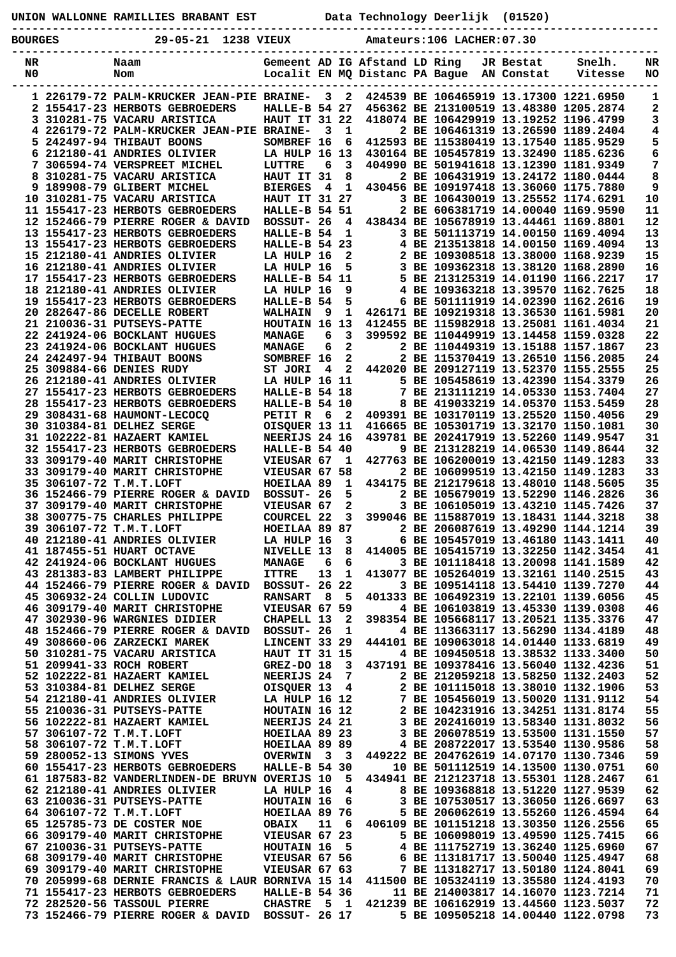|                | UNION WALLONNE RAMILLIES BRABANT EST                                                                                                                                                                                                         |                                 |                |                         | Data Technology Deerlijk (01520)                                           |  |           |                                                                                  |                                       |
|----------------|----------------------------------------------------------------------------------------------------------------------------------------------------------------------------------------------------------------------------------------------|---------------------------------|----------------|-------------------------|----------------------------------------------------------------------------|--|-----------|----------------------------------------------------------------------------------|---------------------------------------|
| <b>BOURGES</b> | --------------------------------<br>29-05-21 1238 VIEUX                                                                                                                                                                                      |                                 |                |                         | Amateurs: 106 LACHER: 07.30                                                |  |           |                                                                                  |                                       |
|                |                                                                                                                                                                                                                                              |                                 |                |                         |                                                                            |  |           |                                                                                  |                                       |
| NR<br>N0       | Naam<br>Nom                                                                                                                                                                                                                                  |                                 |                |                         | Gemeent AD IG Afstand LD Ring<br>Localit EN MQ Distanc PA Bague AN Constat |  | JR Bestat | Snelh.<br>Vitesse                                                                | NR<br>NO                              |
|                |                                                                                                                                                                                                                                              |                                 |                |                         |                                                                            |  |           |                                                                                  |                                       |
|                | 1 226179-72 PALM-KRUCKER JEAN-PIE BRAINE-<br>2 155417-23 HERBOTS GEBROEDERS                                                                                                                                                                  | HALLE-B 54 27                   |                | 3 <sub>2</sub>          | 424539 BE 106465919 13.17300 1221.6950                                     |  |           | 456362 BE 213100519 13.48380 1205.2874                                           | 1<br>2                                |
|                | 3 310281-75 VACARU ARISTICA                                                                                                                                                                                                                  | <b>HAUT IT 31 22</b>            |                |                         |                                                                            |  |           | 418074 BE 106429919 13.19252 1196.4799                                           | 3                                     |
|                | 4 226179-72 PALM-KRUCKER JEAN-PIE BRAINE-                                                                                                                                                                                                    |                                 | 3              | $\mathbf{1}$            |                                                                            |  |           | 2 BE 106461319 13.26590 1189.2404                                                | 4                                     |
|                | 5 242497-94 THIBAUT BOONS                                                                                                                                                                                                                    | SOMBREF 16                      |                | 6                       |                                                                            |  |           | 412593 BE 115380419 13.17540 1185.9529                                           | 5                                     |
|                | 6 212180-41 ANDRIES OLIVIER<br>7 306594-74 VERSPREET MICHEL                                                                                                                                                                                  | LA HULP 16 13<br><b>LUTTRE</b>  | 6              | $\overline{\mathbf{3}}$ |                                                                            |  |           | 430164 BE 105457819 13.32490 1185.6236<br>404990 BE 501941618 13.12390 1181.9349 | 6                                     |
|                | 8 310281-75 VACARU ARISTICA                                                                                                                                                                                                                  | HAUT IT 31                      |                | 8                       |                                                                            |  |           | 2 BE 106431919 13.24172 1180.0444                                                | $\begin{array}{c} 7 \\ 8 \end{array}$ |
|                | 9 189908-79 GLIBERT MICHEL                                                                                                                                                                                                                   | <b>BIERGES</b>                  | 4              |                         | 1 430456 BE 109197418 13.36060 1175.7880                                   |  |           |                                                                                  | 9                                     |
|                | 10 310281-75 VACARU ARISTICA                                                                                                                                                                                                                 | <b>HAUT IT 31 27</b>            |                |                         |                                                                            |  |           | 3 BE 106430019 13.25552 1174.6291                                                | $10$                                  |
|                | 11 155417-23 HERBOTS GEBROEDERS<br>12 152466-79 PIERRE ROGER & DAVID BOSSUT- 26                                                                                                                                                              | HALLE-B 54 51                   |                | $\overline{\mathbf{4}}$ | 438434 BE 105678919 13.44461 1169.8801                                     |  |           | 2 BE 606381719 14.00040 1169.9590                                                | 11<br>12                              |
|                | 13 155417-23 HERBOTS GEBROEDERS                                                                                                                                                                                                              | HALLE-B 54                      |                | $\mathbf{1}$            |                                                                            |  |           | 3 BE 501113719 14.00150 1169.4094                                                | 13                                    |
|                | 13 155417-23 HERBOTS GEBROEDERS                                                                                                                                                                                                              | <b>HALLE-B 54 23</b>            |                |                         |                                                                            |  |           | 4 BE 213513818 14.00150 1169.4094                                                | 13                                    |
|                | 15 212180-41 ANDRIES OLIVIER<br>16 212180-41 ANDRIES OLIVIER                                                                                                                                                                                 | LA HULP 16<br>LA HULP 16        |                |                         | 2 2 BE 109308518 13.38000 1168.9239<br>5 3 BE 109362318 13.38120 1168.2890 |  |           |                                                                                  | 15<br>16                              |
|                | 17 155417-23 HERBOTS GEBROEDERS                                                                                                                                                                                                              | HALLE-B 54 11                   |                |                         | 5 BE 213125319 14.01190 1166.2217                                          |  |           |                                                                                  | 17                                    |
|                | 18 212180-41 ANDRIES OLIVIER                                                                                                                                                                                                                 | LA HULP 16                      |                | 9                       |                                                                            |  |           | 4 BE 109363218 13.39570 1162.7625                                                | 18                                    |
|                | 19 155417-23 HERBOTS GEBROEDERS                                                                                                                                                                                                              | HALLE-B 54                      |                | 5                       |                                                                            |  |           | 6 BE 501111919 14.02390 1162.2616                                                | 19                                    |
|                | 20 282647-86 DECELLE ROBERT<br>21 210036-31 PUTSEYS-PATTE                                                                                                                                                                                    | <b>WALHAIN</b><br>HOUTAIN 16 13 | - 9            | $\mathbf{1}$            |                                                                            |  |           | 426171 BE 109219318 13.36530 1161.5981<br>412455 BE 115982918 13.25081 1161.4034 | 20<br>21                              |
|                | 22 241924-06 BOCKLANT HUGUES                                                                                                                                                                                                                 | <b>MANAGE</b>                   | 6              | $\overline{\mathbf{3}}$ |                                                                            |  |           | 399592 BE 110449919 13.14458 1159.0328                                           | 22                                    |
|                | 23 241924-06 BOCKLANT HUGUES                                                                                                                                                                                                                 | <b>MANAGE</b>                   | 6              | $\overline{\mathbf{2}}$ |                                                                            |  |           | 2 BE 110449319 13.15188 1157.1867                                                | 23                                    |
|                | 24 242497-94 THIBAUT BOONS                                                                                                                                                                                                                   | SOMBREF 16                      |                | $\overline{\mathbf{2}}$ |                                                                            |  |           | 2 BE 115370419 13.26510 1156.2085                                                | 24                                    |
|                | 25 309884-66 DENIES RUDY<br>26 212180-41 ANDRIES OLIVIER                                                                                                                                                                                     | ST JORI<br><b>LA HULP 16 11</b> | $\overline{4}$ | $\overline{2}$          | 442020 BE 209127119 13.52370 1155.2555                                     |  |           | 5 BE 105458619 13.42390 1154.3379                                                | 25<br>26                              |
|                | 27 155417-23 HERBOTS GEBROEDERS                                                                                                                                                                                                              | HALLE-B 54 18                   |                |                         |                                                                            |  |           | 7 BE 213111219 14.05330 1153.7404                                                | 27                                    |
|                | 28 155417-23 HERBOTS GEBROEDERS                                                                                                                                                                                                              | HALLE-B 54 10                   |                |                         |                                                                            |  |           | 8 BE 419033219 14.05370 1153.5459                                                | 28                                    |
|                | 29 308431-68 HAUMONT-LECOCO                                                                                                                                                                                                                  | PETIT R 6 2                     |                |                         | 409391 BE 103170119 13.25520 1150.4056                                     |  |           |                                                                                  | 29                                    |
|                | 30 310384-81 DELHEZ SERGE<br>31 102222-81 HAZAERT KAMIEL                                                                                                                                                                                     | OISQUER 13 11<br>NEERIJS 24 16  |                |                         |                                                                            |  |           | 416665 BE 105301719 13.32170 1150.1081<br>439781 BE 202417919 13.52260 1149.9547 | 30<br>31                              |
|                | 32 155417-23 HERBOTS GEBROEDERS                                                                                                                                                                                                              | HALLE-B 54 40                   |                |                         |                                                                            |  |           | 9 BE 213128219 14.06530 1149.8644                                                | 32                                    |
|                | 33 309179-40 MARIT CHRISTOPHE                                                                                                                                                                                                                | VIEUSAR 67                      |                | $\mathbf{1}$            |                                                                            |  |           | 427763 BE 106200019 13.42150 1149.1283                                           | 33                                    |
|                | 33 309179-40 MARIT CHRISTOPHE<br>35 306107-72 T.M.T.LOFT                                                                                                                                                                                     | VIEUSAR 67 58<br>HOEILAA 89     |                | $\mathbf{1}$            |                                                                            |  |           | 2 BE 106099519 13.42150 1149.1283<br>434175 BE 212179618 13.48010 1148.5605      | 33<br>35                              |
|                | 36 152466-79 PIERRE ROGER & DAVID BOSSUT- 26                                                                                                                                                                                                 |                                 |                | 5                       |                                                                            |  |           | 2 BE 105679019 13.52290 1146.2826                                                | 36                                    |
|                | 37 309179-40 MARIT CHRISTOPHE                                                                                                                                                                                                                | VIEUSAR 67                      |                | $\overline{2}$          |                                                                            |  |           | 3 BE 106105019 13.43210 1145.7426                                                | 37                                    |
|                | 38 300775-75 CHARLES PHILIPPE                                                                                                                                                                                                                | <b>COURCEL 22</b>               |                | 3                       |                                                                            |  |           | 399046 BE 115887019 13.18431 1144.3218                                           | 38                                    |
|                | 39 306107-72 T.M.T.LOFT HOEILAA 89 87 2 BE 206087619 13.49290 1144.1214<br>40 212180-41 ANDRIES OLIVIER LA HULP 16 3 6 BE 105457019 13.46180 1143.1411                                                                                       |                                 |                |                         |                                                                            |  |           |                                                                                  | 39<br>40                              |
|                | 41 187455-51 HUART OCTAVE                                                                                                                                                                                                                    | NIVELLE 13 8                    |                |                         |                                                                            |  |           | 414005 BE 105415719 13.32250 1142.3454                                           | 41                                    |
|                | 42 241924-06 BOCKLANT HUGUES MANAGE<br>43 281383-83 LAMBERT PHILIPPE ITTRE                                                                                                                                                                   |                                 |                |                         | 66                                                                         |  |           | 3 BE 101118418 13.20098 1141.1589                                                | 42                                    |
|                | 44 152466-79 PIERRE ROGER & DAVID BOSSUT- 26 22                                                                                                                                                                                              |                                 |                | 13 1                    |                                                                            |  |           | 413077 BE 105264019 13.32161 1140.2515                                           | 43                                    |
|                | 45 306932-24 COLLIN LUDOVIC                                                                                                                                                                                                                  | RANSART 8 5                     |                |                         |                                                                            |  |           | 3 BE 109514118 13.54410 1139.7270<br>401333 BE 106492319 13.22101 1139.6056      | 44<br>45                              |
|                | 46 309179-40 MARIT CHRISTOPHE                                                                                                                                                                                                                | VIEUSAR 67 59                   |                |                         |                                                                            |  |           | 4 BE 106103819 13.45330 1139.0308                                                | 46                                    |
|                | 47 302930-96 WARGNIES DIDIER                                                                                                                                                                                                                 | CHAPELL 13 2                    |                |                         |                                                                            |  |           | 398354 BE 105668117 13.20521 1135.3376                                           | 47                                    |
|                | 48 152466-79 PIERRE ROGER & DAVID BOSSUT- 26 1<br>49 308660-06 ZARZECKI MAREK                                                                                                                                                                | <b>LINCENT 33 29</b>            |                |                         |                                                                            |  |           | 4 BE 113663117 13.56290 1134.4189<br>444101 BE 109063018 14.01440 1133.6819      | 48<br>49                              |
|                |                                                                                                                                                                                                                                              |                                 |                |                         |                                                                            |  |           |                                                                                  | 50                                    |
|                | 50 310281-75 VACARU ARISTICA<br>51 209941-33 ROCH ROBERT GREZ-DO 18 3 437191 BE 109378416 13.56040 1132.4236<br>52 102222-81 HAZAERT KAMIEL NEERIJS 24 7 2 BE 212059218 13.58250 1132.2403                                                   |                                 |                |                         |                                                                            |  |           |                                                                                  | 51                                    |
|                |                                                                                                                                                                                                                                              |                                 |                |                         |                                                                            |  |           |                                                                                  | 52                                    |
|                | 53 310384-81 DELHEZ SERGE 61 OISQUER 13 4 2 BE 101115018 13.38010 1132.1906                                                                                                                                                                  |                                 |                |                         |                                                                            |  |           |                                                                                  | 53<br>54                              |
|                | 34 212180-41 ANDRIES OLIVIER<br>54 212180-41 ANDRIES OLIVIER<br>55 210036-31 PUTSEYS-PATTE<br>56 102222-81 HAZAERT KAMIEL<br>56 102222-81 HAZAERT KAMIEL<br>56 102222-81 HAZAERT KAMIEL<br>3 BE 202416019 13.58340 1131.8174<br>57 306107-72 |                                 |                |                         |                                                                            |  |           |                                                                                  | 55                                    |
|                |                                                                                                                                                                                                                                              |                                 |                |                         |                                                                            |  |           |                                                                                  | 56                                    |
|                |                                                                                                                                                                                                                                              |                                 |                |                         |                                                                            |  |           |                                                                                  | 57                                    |
|                |                                                                                                                                                                                                                                              |                                 |                |                         |                                                                            |  |           |                                                                                  | 58<br>59                              |
|                | 59 280052-13 SIMONS YVES<br>59 280052-13 SIMONS YVES<br>60 155417-23 HERBOTS GEBROEDERS<br>HALLE-B 54 30 10 BE 501112519 14.13500 1130.0751                                                                                                  |                                 |                |                         |                                                                            |  |           |                                                                                  | 60                                    |
|                | 61 187583-82 VANDERLINDEN-DE BRUYN OVERIJS 10 5 434941 BE 212123718 13.55301 1128.2467                                                                                                                                                       |                                 |                |                         |                                                                            |  |           |                                                                                  | 61                                    |
|                | 62 212180-41 ANDRIES OLIVIER LA HULP 16 4                                                                                                                                                                                                    |                                 |                |                         |                                                                            |  |           | 8 BE 109368818 13.51220 1127.9539<br>3 BE 107530517 13.36050 1126.6697           | 62<br>63                              |
|                |                                                                                                                                                                                                                                              |                                 |                |                         |                                                                            |  |           | 5 BE 206062619 13.55260 1126.4594                                                | 64                                    |
|                | 65 125785-73 DE COSTER NOE OBAIX 11 6                                                                                                                                                                                                        |                                 |                |                         |                                                                            |  |           | 406109 BE 101151218 13.30350 1126.2556                                           | 65                                    |
|                | 66 309179-40 MARIT CHRISTOPHE VIEUSAR 67 23 5 BE 106098019 13.49590 1125.7415<br>67 210036-31 PUTSEYS-PATTE HOUTAIN 16 5 4 BE 111752719 13.36240 1125.6960                                                                                   |                                 |                |                         |                                                                            |  |           |                                                                                  | 66                                    |
|                | 68 309179-40 MARIT CHRISTOPHE VIEUSAR 67 56                                                                                                                                                                                                  |                                 |                |                         | 6 BE 113181717 13.50040 1125.4947                                          |  |           |                                                                                  | 67<br>68                              |
|                | 69 309179-40 MARIT CHRISTOPHE                                                                                                                                                                                                                | <b>VIEUSAR 67 63</b>            |                |                         |                                                                            |  |           | 7 BE 113182717 13.50180 1124.8041                                                | 69                                    |
|                | 70 205999-68 DERNIE FRANCIS & LAUR BORNIVA 15 14 411500 BE 105324119 13.35580 1124.4193                                                                                                                                                      |                                 |                |                         |                                                                            |  |           |                                                                                  | 70                                    |
|                | 71 155417-23 HERBOTS GEBROEDERS                                                                                                                                                                                                              | <b>HALLE-B 54 36</b>            |                |                         |                                                                            |  |           | 11 BE 214003817 14.16070 1123.7214                                               | 71<br>72                              |
|                | 72 282520-56 TASSOUL PIERRE CHASTRE 5 1 421239 BE 106162919 13.44560 1123.5037<br>73 152466-79 PIERRE ROGER & DAVID BOSSUT- 26 17 5 BE 109505218 14.00440 1122.0798                                                                          |                                 |                |                         |                                                                            |  |           |                                                                                  | 73                                    |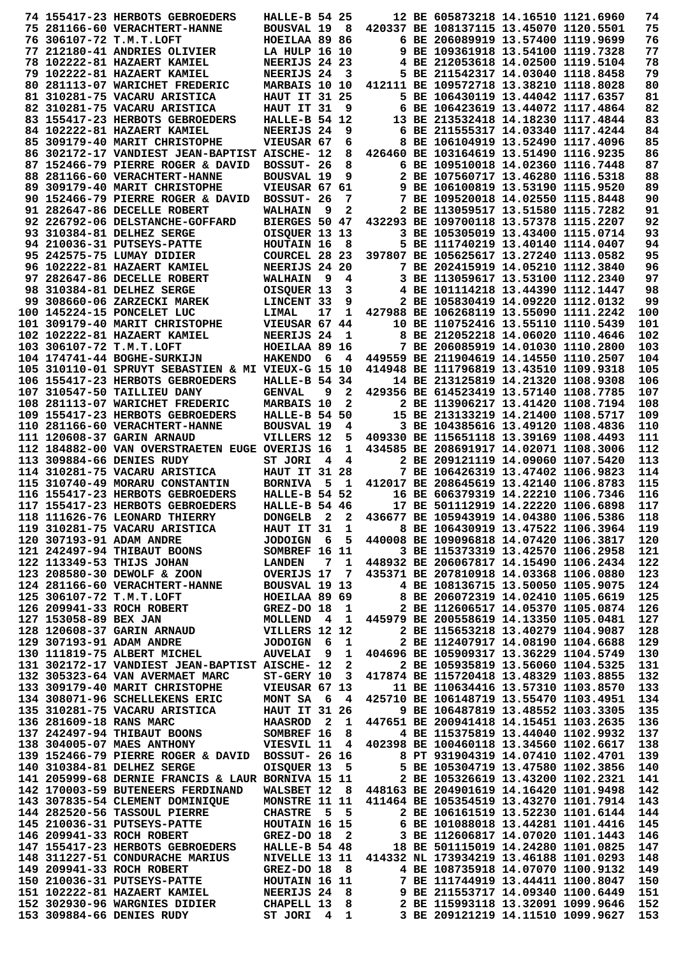|  | 74 155417-23 HERBOTS GEBROEDERS                                                                                                                                                                 | HALLE-B 54 25                        |     |                |                                        |  | 12 BE 605873218 14.16510 1121.6960 | 74         |
|--|-------------------------------------------------------------------------------------------------------------------------------------------------------------------------------------------------|--------------------------------------|-----|----------------|----------------------------------------|--|------------------------------------|------------|
|  | 75 281166-60 VERACHTERT-HANNE                                                                                                                                                                   | BOUSVAL 19 8                         |     |                | 420337 BE 108137115 13.45070 1120.5501 |  |                                    | 75         |
|  | 76 306107-72 T.M.T.LOFT                                                                                                                                                                         | HOEILAA 89 86                        |     |                |                                        |  | 6 BE 206089919 13.57400 1119.9699  | 76         |
|  | 77 212180-41 ANDRIES OLIVIER                                                                                                                                                                    | LA HULP 16 10                        |     |                |                                        |  | 9 BE 109361918 13.54100 1119.7328  | 77         |
|  | 78 102222-81 HAZAERT KAMIEL                                                                                                                                                                     | NEERIJS 24 23                        |     |                |                                        |  | 4 BE 212053618 14.02500 1119.5104  | 78         |
|  | 79 102222-81 HAZAERT KAMIEL                                                                                                                                                                     | NEERIJS 24                           |     | 3              |                                        |  | 5 BE 211542317 14.03040 1118.8458  | 79         |
|  | 80 281113-07 WARICHET FREDERIC                                                                                                                                                                  | MARBAIS 10 10                        |     |                | 412111 BE 109572718 13.38210 1118.8028 |  |                                    | 80         |
|  | 81 310281-75 VACARU ARISTICA                                                                                                                                                                    | <b>HAUT IT 31 25</b>                 |     |                |                                        |  | 5 BE 106430119 13.44042 1117.6357  | 81         |
|  | 82 310281-75 VACARU ARISTICA                                                                                                                                                                    | HAUT IT 31                           |     | 9              |                                        |  | 6 BE 106423619 13.44072 1117.4864  | 82         |
|  | 83 155417-23 HERBOTS GEBROEDERS                                                                                                                                                                 | HALLE-B 54 12                        |     |                |                                        |  | 13 BE 213532418 14.18230 1117.4844 | 83         |
|  | 84 102222-81 HAZAERT KAMIEL                                                                                                                                                                     | NEERIJS 24                           |     | 9              |                                        |  | 6 BE 211555317 14.03340 1117.4244  | 84         |
|  | 85 309179-40 MARIT CHRISTOPHE                                                                                                                                                                   | VIEUSAR 67                           |     | 6              |                                        |  | 8 BE 106104919 13.52490 1117.4096  | 85         |
|  | 86 302172-17 VANDIEST JEAN-BAPTIST AISCHE- 12                                                                                                                                                   |                                      |     | 8              | 426460 BE 103164619 13.51490 1116.9235 |  |                                    | 86         |
|  | 87 152466-79 PIERRE ROGER & DAVID                                                                                                                                                               | BOSSUT- 26                           |     | 8              |                                        |  | 6 BE 109510018 14.02360 1116.7448  | 87         |
|  | 88 281166-60 VERACHTERT-HANNE                                                                                                                                                                   | <b>BOUSVAL 19</b>                    |     | 9              |                                        |  | 2 BE 107560717 13.46280 1116.5318  | 88         |
|  | 89 309179-40 MARIT CHRISTOPHE                                                                                                                                                                   | VIEUSAR 67 61                        |     |                |                                        |  | 9 BE 106100819 13.53190 1115.9520  | 89         |
|  | 90 152466-79 PIERRE ROGER & DAVID                                                                                                                                                               | BOSSUT- 26                           |     | 7              |                                        |  | 7 BE 109520018 14.02550 1115.8448  | 90         |
|  | 91 282647-86 DECELLE ROBERT                                                                                                                                                                     | <b>WALHAIN</b>                       | - 9 | 2              |                                        |  | 2 BE 113059517 13.51580 1115.7282  | 91         |
|  | 92 226792-06 DELSTANCHE-GOFFARD                                                                                                                                                                 | BIERGES 50 47                        |     |                | 432293 BE 109700118 13.57378 1115.2207 |  |                                    | 92         |
|  | 93 310384-81 DELHEZ SERGE                                                                                                                                                                       | OISQUER 13 13                        |     |                |                                        |  | 3 BE 105305019 13.43400 1115.0714  | 93         |
|  | 94 210036-31 PUTSEYS-PATTE                                                                                                                                                                      | HOUTAIN 16                           |     | 8              |                                        |  | 5 BE 111740219 13.40140 1114.0407  | 94         |
|  | 95 242575-75 LUMAY DIDIER                                                                                                                                                                       | COURCEL 28 23                        |     |                | 397807 BE 105625617 13.27240 1113.0582 |  |                                    | 95         |
|  | 96 102222-81 HAZAERT KAMIEL                                                                                                                                                                     | NEERIJS 24 20                        |     |                |                                        |  | 7 BE 202415919 14.05210 1112.3840  | 96         |
|  | 97 282647-86 DECELLE ROBERT                                                                                                                                                                     | <b>WALHAIN</b>                       | - 9 | 4              |                                        |  | 3 BE 113059617 13.53100 1112.2340  | 97         |
|  | 98 310384-81 DELHEZ SERGE                                                                                                                                                                       | OISQUER 13                           |     | 3              |                                        |  | 4 BE 101114218 13.44390 1112.1447  | 98         |
|  | 99 308660-06 ZARZECKI MAREK                                                                                                                                                                     | LINCENT 33                           |     | 9              |                                        |  | 2 BE 105830419 14.09220 1112.0132  | 99         |
|  | 100 145224-15 PONCELET LUC                                                                                                                                                                      | LIMAL                                | 17  | 1              | 427988 BE 106268119 13.55090 1111.2242 |  |                                    | 100        |
|  | 101 309179-40 MARIT CHRISTOPHE                                                                                                                                                                  | VIEUSAR 67 44                        |     |                |                                        |  | 10 BE 110752416 13.55110 1110.5439 | 101        |
|  | 102 102222-81 HAZAERT KAMIEL                                                                                                                                                                    | <b>NEERIJS 24</b>                    |     | $\mathbf{1}$   |                                        |  | 8 BE 212052218 14.06020 1110.4646  | 102        |
|  | 103 306107-72 T.M.T.LOFT                                                                                                                                                                        | HOEILAA 89 16                        |     |                |                                        |  | 7 BE 206085919 14.01030 1110.2800  | 103        |
|  | 104 174741-44 BOGHE-SURKIJN                                                                                                                                                                     | <b>HAKENDO</b>                       | - 6 | 4              | 449559 BE 211904619 14.14550 1110.2507 |  |                                    | 104        |
|  | 105 310110-01 SPRUYT SEBASTIEN & MI VIEUX-G 15 10                                                                                                                                               |                                      |     |                | 414948 BE 111796819 13.43510 1109.9318 |  |                                    | 105        |
|  | 106 155417-23 HERBOTS GEBROEDERS                                                                                                                                                                | <b>HALLE-B 54 34</b>                 |     |                |                                        |  | 14 BE 213125819 14.21320 1108.9308 | 106        |
|  | 107 310547-50 TAILLIEU DANY                                                                                                                                                                     | <b>GENVAL</b>                        | 9   | 2              | 429356 BE 614523419 13.57140 1108.7785 |  |                                    | 107        |
|  |                                                                                                                                                                                                 |                                      |     | $\mathbf{2}$   |                                        |  | 2 BE 113906217 13.41420 1108.7194  | 108        |
|  | 108 281113-07 WARICHET FREDERIC                                                                                                                                                                 | <b>MARBAIS 10</b>                    |     |                |                                        |  |                                    |            |
|  | 109 155417-23 HERBOTS GEBROEDERS                                                                                                                                                                | <b>HALLE-B 54 50</b>                 |     |                |                                        |  | 15 BE 213133219 14.21400 1108.5717 | 109        |
|  | 110 281166-60 VERACHTERT-HANNE                                                                                                                                                                  | <b>BOUSVAL 19</b>                    |     | 4              |                                        |  | 3 BE 104385616 13.49120 1108.4836  | 110        |
|  | 111 120608-37 GARIN ARNAUD                                                                                                                                                                      | VILLERS 12                           |     | 5              | 409330 BE 115651118 13.39169 1108.4493 |  |                                    | 111        |
|  | 112 184882-00 VAN OVERSTRAETEN EUGE OVERIJS 16                                                                                                                                                  |                                      |     | 1              | 434585 BE 208691917 14.02071 1108.3006 |  |                                    | 112        |
|  | 113 309884-66 DENIES RUDY                                                                                                                                                                       | ST JORI                              | 4   | 4              |                                        |  | 2 BE 209121119 14.09060 1107.5420  | 113        |
|  | 114 310281-75 VACARU ARISTICA                                                                                                                                                                   | <b>HAUT IT 31 28</b>                 |     |                |                                        |  | 7 BE 106426319 13.47402 1106.9823  | 114        |
|  | 115 310740-49 MORARU CONSTANTIN                                                                                                                                                                 | <b>BORNIVA</b>                       | - 5 | $\mathbf{1}$   | 412017 BE 208645619 13.42140 1106.8783 |  |                                    | 115        |
|  | 116 155417-23 HERBOTS GEBROEDERS                                                                                                                                                                | <b>HALLE-B 54 52</b>                 |     |                |                                        |  | 16 BE 606379319 14.22210 1106.7346 | 116        |
|  | 117 155417-23 HERBOTS GEBROEDERS                                                                                                                                                                | HALLE-B 54 46                        |     |                |                                        |  | 17 BE 501112919 14.22220 1106.6898 | 117        |
|  | 118 111626-76 LEONARD THIERRY                                                                                                                                                                   | DONGELB <sub>2</sub>                 |     | $\mathbf{2}$   | 436677 BE 105943919 14.04380 1106.5386 |  |                                    | 118        |
|  | 119 310281-75 VACARU ARISTICA                                                                                                                                                                   | HAUT IT 31                           |     | $\mathbf{1}$   |                                        |  | 8 BE 106430919 13.47522 1106.3964  | 119        |
|  | 120 307193-91 ADAM ANDRE                                                                                                                                                                        | JODOIGN 6                            |     | 5 <sub>5</sub> | 440008 BE 109096818 14.07420 1106.3817 |  |                                    | 120        |
|  | 121 242497-94 THIBAUT BOONS                                                                                                                                                                     | SOMBREF 16 11                        |     |                |                                        |  | 3 BE 115373319 13.42570 1106.2958  | 121        |
|  | 122 113349-53 THIJS JOHAN                LANDEN   7  1   448932 BE 206067817 14.15490 1106.2434<br>123 208580-30 DEWOLF & ZOON            OVERIJS 17  7  435371 BE 207810918 14.03368 1106.0880 |                                      |     |                |                                        |  |                                    | 122        |
|  |                                                                                                                                                                                                 |                                      |     |                |                                        |  |                                    | 123        |
|  | 124 281166-60 VERACHTERT-HANNE BOUSVAL 19 13                                                                                                                                                    |                                      |     |                |                                        |  | 4 BE 108136715 13.50050 1105.9075  | 124        |
|  | 125 306107-72 T.M.T.LOFT                                                                                                                                                                        | HOEILAA 89 69                        |     |                |                                        |  | 8 BE 206072319 14.02410 1105.6619  | 125        |
|  | 126 209941-33 ROCH ROBERT<br>126 209941-33 RUCH RUBBAI<br>127 153058-89 BEX JAN MOLLEND 4 1<br>128 120608-37 GARIN ARNAUD VILLERS 12 12<br>129 307193-91 ADAM ANDRE JODOIGN 6 1                 | <b>GREZ-DO 18</b>                    |     | $\mathbf{1}$   |                                        |  | 2 BE 112606517 14.05370 1105.0874  | 126        |
|  |                                                                                                                                                                                                 |                                      |     |                | 445979 BE 200558619 14.13350 1105.0481 |  |                                    | 127        |
|  |                                                                                                                                                                                                 |                                      |     |                |                                        |  | 2 BE 115653218 13.40279 1104.9087  | 128        |
|  |                                                                                                                                                                                                 |                                      |     |                |                                        |  | 2 BE 112407917 14.08190 1104.6688  | 129        |
|  | 130 111819-75 ALBERT MICHEL                                                                                                                                                                     | <b>AUVELAI</b>                       | - 9 | 1              | 404696 BE 105909317 13.36229 1104.5749 |  |                                    | 130        |
|  | 131 302172-17 VANDIEST JEAN-BAPTIST AISCHE- 12                                                                                                                                                  |                                      |     | $\mathbf{2}$   |                                        |  | 2 BE 105935819 13.56060 1104.5325  | 131        |
|  | 132 305323-64 VAN AVERMAET MARC                                                                                                                                                                 | $ST-GERY$ 10 3                       |     |                | 417874 BE 115720418 13.48329 1103.8855 |  |                                    | 132        |
|  | 133 309179-40 MARIT CHRISTOPHE                                                                                                                                                                  | VIEUSAR 67 13                        |     |                |                                        |  | 11 BE 110634416 13.57310 1103.8570 | 133        |
|  | 134 308071-96 SCHELLEKENS ERIC                                                                                                                                                                  |                                      |     |                | 425710 BE 106148719 13.55470 1103.4951 |  |                                    | 134        |
|  |                                                                                                                                                                                                 |                                      |     |                |                                        |  |                                    | 135        |
|  | 135 310281-75 VACARU ARISTICA                                                                                                                                                                   | <b>MONT SA 6 4<br/>HAUT IT 31 26</b> |     |                |                                        |  | 9 BE 106487819 13.48552 1103.3305  |            |
|  |                                                                                                                                                                                                 |                                      |     |                |                                        |  |                                    | 136        |
|  |                                                                                                                                                                                                 |                                      |     |                |                                        |  |                                    | 137        |
|  | 136 281609-18 RANS MARC<br>137 242497-94 THIBAUT BOONS<br>138 304005-07 MAES ANTHONY<br>138 304005-07 MAES ANTHONY<br>138 304005-07 MAES ANTHONY<br>11 4 402398 BE 100460118 13.34560 1102.6617 |                                      |     |                |                                        |  |                                    | 138        |
|  | 139 152466-79 PIERRE ROGER & DAVID BOSSUT- 26 16                                                                                                                                                |                                      |     |                |                                        |  | 8 PT 931904319 14.07410 1102.4701  | 139        |
|  | 140 310384-81 DELHEZ SERGE                                                                                                                                                                      |                                      |     |                |                                        |  | 5 BE 105304719 13.47580 1102.3856  | 140        |
|  | 141 205999-68 DERNIE FRANCIS & LAUR BORNIVA 15 11                                                                                                                                               | OISQUER 13 5<br>BORNIVA 15 11        |     |                |                                        |  | 2 BE 105326619 13.43200 1102.2321  | 141        |
|  | 142 170003-59 BUTENEERS FERDINAND                                                                                                                                                               | WALSBET 12 8                         |     |                | 448163 BE 204901619 14.16420 1101.9498 |  |                                    | 142        |
|  | 143 307835-54 CLEMENT DOMINIQUE                                                                                                                                                                 | MONSTRE 11 11                        |     |                | 411464 BE 105354519 13.43270 1101.7914 |  |                                    | 143        |
|  | 144 282520-56 TASSOUL PIERRE                                                                                                                                                                    | <b>CHASTRE</b>                       |     | 5 5            |                                        |  | 2 BE 106161519 13.52230 1101.6144  | 144        |
|  | 145 210036-31 PUTSEYS-PATTE                                                                                                                                                                     | HOUTAIN 16 15                        |     |                |                                        |  | 6 BE 101088018 13.44281 1101.4416  | 145        |
|  | 146 209941-33 ROCH ROBERT                                                                                                                                                                       | $GREZ-DO$ 18 2                       |     |                |                                        |  | 3 BE 112606817 14.07020 1101.1443  | 146        |
|  | 147 155417-23 HERBOTS GEBROEDERS HALLE-B 54 48                                                                                                                                                  |                                      |     |                |                                        |  | 18 BE 501115019 14.24280 1101.0825 | 147        |
|  | 148 311227-51 CONDURACHE MARIUS                                                                                                                                                                 | NIVELLE 13 11                        |     |                | 414332 NL 173934219 13.46188 1101.0293 |  |                                    | 148        |
|  | 149 209941-33 ROCH ROBERT                                                                                                                                                                       | GREZ-DO 18 8                         |     |                |                                        |  | 4 BE 108735918 14.07070 1100.9132  | 149        |
|  | 150 210036-31 PUTSEYS-PATTE                                                                                                                                                                     | HOUTAIN 16 11                        |     |                |                                        |  | 7 BE 111744919 13.44411 1100.8047  | 150        |
|  | 151 102222-81 HAZAERT KAMIEL NEERIJS 24                                                                                                                                                         |                                      |     | - 8            |                                        |  | 9 BE 211553717 14.09340 1100.6449  | 151        |
|  | 152 302930-96 WARGNIES DIDIER CHAPELL 13 8 2 BE 115993118 13.32091 1099.9646<br>153 309884-66 DENIES RUDY                                                                                       | ST JORI 4 1                          |     |                |                                        |  | 3 BE 209121219 14.11510 1099.9627  | 152<br>153 |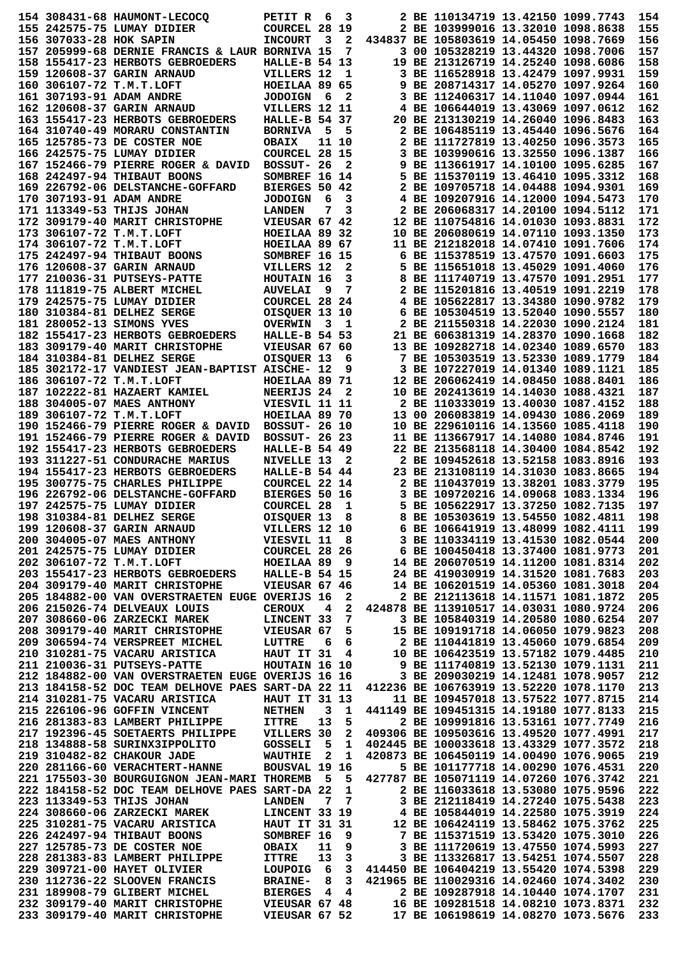|                         | 154 308431-68 HAUMONT-LECOCO                                                                                                                                                                                                                                                                                                                                                                                | PETIT R              | - 6             | 3                       |                                                                                                              | 2 BE 110134719 13.42150 1099.7743      |                                                                                                               | 154        |
|-------------------------|-------------------------------------------------------------------------------------------------------------------------------------------------------------------------------------------------------------------------------------------------------------------------------------------------------------------------------------------------------------------------------------------------------------|----------------------|-----------------|-------------------------|--------------------------------------------------------------------------------------------------------------|----------------------------------------|---------------------------------------------------------------------------------------------------------------|------------|
|                         | 155 242575-75 LUMAY DIDIER                                                                                                                                                                                                                                                                                                                                                                                  | COURCEL 28 19        |                 |                         |                                                                                                              | 2 BE 103999016 13.32010 1098.8638      |                                                                                                               | 155        |
| 156 307033-28 HOK SAPIN |                                                                                                                                                                                                                                                                                                                                                                                                             | <b>INCOURT</b>       | 3               | $\mathbf{2}$            |                                                                                                              | 434837 BE 105803619 14.05450 1098.7669 |                                                                                                               | 156        |
|                         | 157 205999-68 DERNIE FRANCIS & LAUR BORNIVA 15                                                                                                                                                                                                                                                                                                                                                              |                      |                 | 7                       |                                                                                                              | 3 00 105328219 13.44320 1098.7006      |                                                                                                               | 157        |
|                         | 158 155417-23 HERBOTS GEBROEDERS                                                                                                                                                                                                                                                                                                                                                                            |                      |                 |                         |                                                                                                              | 19 BE 213126719 14.25240 1098.6086     |                                                                                                               | 158        |
|                         |                                                                                                                                                                                                                                                                                                                                                                                                             | HALLE-B 54 13        |                 |                         |                                                                                                              |                                        |                                                                                                               | 159        |
|                         | 159 120608-37 GARIN ARNAUD                                                                                                                                                                                                                                                                                                                                                                                  | VILLERS 12           |                 | $\mathbf{1}$            |                                                                                                              | 3 BE 116528918 13.42479 1097.9931      |                                                                                                               |            |
|                         | 160 306107-72 T.M.T.LOFT                                                                                                                                                                                                                                                                                                                                                                                    | HOEILAA 89 65        |                 |                         |                                                                                                              | 9 BE 208714317 14.05270 1097.9264      |                                                                                                               | 160        |
|                         | 161 307193-91 ADAM ANDRE                                                                                                                                                                                                                                                                                                                                                                                    | <b>JODOIGN</b>       | - 6             | $\mathbf{2}$            |                                                                                                              | 3 BE 112406317 14.11040 1097.0944      |                                                                                                               | 161        |
|                         | 162 120608-37 GARIN ARNAUD                                                                                                                                                                                                                                                                                                                                                                                  | VILLERS 12 11        |                 |                         |                                                                                                              | 4 BE 106644019 13.43069 1097.0612      |                                                                                                               | 162        |
|                         | 163 155417-23 HERBOTS GEBROEDERS                                                                                                                                                                                                                                                                                                                                                                            | HALLE-B 54 37        |                 |                         |                                                                                                              | 20 BE 213130219 14.26040 1096.8483     |                                                                                                               | 163        |
|                         | 164 310740-49 MORARU CONSTANTIN                                                                                                                                                                                                                                                                                                                                                                             | <b>BORNIVA</b>       | - 5             | - 5                     |                                                                                                              | 2 BE 106485119 13.45440 1096.5676      |                                                                                                               | 164        |
|                         | 165 125785-73 DE COSTER NOE                                                                                                                                                                                                                                                                                                                                                                                 | <b>OBAIX</b>         |                 | 11 10                   |                                                                                                              | 2 BE 111727819 13.40250 1096.3573      |                                                                                                               | 165        |
|                         | 166 242575-75 LUMAY DIDIER                                                                                                                                                                                                                                                                                                                                                                                  | <b>COURCEL 28 15</b> |                 |                         |                                                                                                              | 3 BE 103990616 13.32550 1096.1387      |                                                                                                               | 166        |
|                         | 167 152466-79 PIERRE ROGER & DAVID BOSSUT- 26                                                                                                                                                                                                                                                                                                                                                               |                      |                 | 2                       |                                                                                                              | 9 BE 113661917 14.10100 1095.6285      |                                                                                                               | 167        |
|                         | 168 242497-94 THIBAUT BOONS                                                                                                                                                                                                                                                                                                                                                                                 |                      |                 |                         |                                                                                                              | 5 BE 115370119 13.46410 1095.3312      |                                                                                                               | 168        |
|                         |                                                                                                                                                                                                                                                                                                                                                                                                             | SOMBREF 16 14        |                 |                         |                                                                                                              |                                        |                                                                                                               |            |
|                         | 169 226792-06 DELSTANCHE-GOFFARD                                                                                                                                                                                                                                                                                                                                                                            | BIERGES 50 42        |                 |                         |                                                                                                              | 2 BE 109705718 14.04488 1094.9301      |                                                                                                               | 169        |
|                         | 170 307193-91 ADAM ANDRE                                                                                                                                                                                                                                                                                                                                                                                    | <b>JODOIGN</b>       | - 6             | 3                       |                                                                                                              | 4 BE 109207916 14.12000 1094.5473      |                                                                                                               | 170        |
|                         | 171 113349-53 THIJS JOHAN                                                                                                                                                                                                                                                                                                                                                                                   | <b>LANDEN</b>        | 7               | 3                       |                                                                                                              | 2 BE 206068317 14.20100 1094.5112      |                                                                                                               | 171        |
|                         | 172 309179-40 MARIT CHRISTOPHE                                                                                                                                                                                                                                                                                                                                                                              | VIEUSAR 67 42        |                 |                         |                                                                                                              | 12 BE 110754816 14.01030 1093.8831     |                                                                                                               | 172        |
|                         | 173 306107-72 T.M.T.LOFT                                                                                                                                                                                                                                                                                                                                                                                    | HOEILAA 89 32        |                 |                         |                                                                                                              | 10 BE 206080619 14.07110 1093.1350     |                                                                                                               | 173        |
|                         | 174 306107-72 T.M.T.LOFT                                                                                                                                                                                                                                                                                                                                                                                    | HOEILAA 89 67        |                 |                         |                                                                                                              | 11 BE 212182018 14.07410 1091.7606     |                                                                                                               | 174        |
|                         | 175 242497-94 THIBAUT BOONS                                                                                                                                                                                                                                                                                                                                                                                 | SOMBREF 16 15        |                 |                         |                                                                                                              | 6 BE 115378519 13.47570 1091.6603      |                                                                                                               | 175        |
|                         | 176 120608-37 GARIN ARNAUD                                                                                                                                                                                                                                                                                                                                                                                  | VILLERS 12           |                 | 2                       |                                                                                                              | 5 BE 115651018 13.45029 1091.4060      |                                                                                                               | 176        |
|                         | 177 210036-31 PUTSEYS-PATTE                                                                                                                                                                                                                                                                                                                                                                                 | HOUTAIN 16           |                 | 3                       |                                                                                                              | 8 BE 111740719 13.47570 1091.2951      |                                                                                                               | 177        |
|                         |                                                                                                                                                                                                                                                                                                                                                                                                             |                      |                 |                         |                                                                                                              | 2 BE 115201816 13.40519 1091.2219      |                                                                                                               | 178        |
|                         | 178 111819-75 ALBERT MICHEL                                                                                                                                                                                                                                                                                                                                                                                 | <b>AUVELAI</b>       | 9               | 7                       |                                                                                                              |                                        |                                                                                                               |            |
|                         | 179 242575-75 LUMAY DIDIER                                                                                                                                                                                                                                                                                                                                                                                  | COURCEL 28 24        |                 |                         |                                                                                                              | 4 BE 105622817 13.34380 1090.9782      |                                                                                                               | 179        |
|                         | 180 310384-81 DELHEZ SERGE                                                                                                                                                                                                                                                                                                                                                                                  | OISOUER 13 10        |                 |                         |                                                                                                              | 6 BE 105304519 13.52040 1090.5557      |                                                                                                               | 180        |
|                         | 181 280052-13 SIMONS YVES                                                                                                                                                                                                                                                                                                                                                                                   | <b>OVERWIN</b>       | - 3             | 1                       |                                                                                                              | 2 BE 211550318 14.22030 1090.2124      |                                                                                                               | 181        |
|                         | 182 155417-23 HERBOTS GEBROEDERS                                                                                                                                                                                                                                                                                                                                                                            | HALLE-B 54 53        |                 |                         |                                                                                                              | 21 BE 606381319 14.28370 1090.1668     |                                                                                                               | 182        |
|                         | 183 309179-40 MARIT CHRISTOPHE                                                                                                                                                                                                                                                                                                                                                                              | VIEUSAR 67 60        |                 |                         |                                                                                                              | 13 BE 109282718 14.02340 1089.6570     |                                                                                                               | 183        |
|                         | 184 310384-81 DELHEZ SERGE                                                                                                                                                                                                                                                                                                                                                                                  | OISQUER 13           |                 | 6                       |                                                                                                              | 7 BE 105303519 13.52330 1089.1779      |                                                                                                               | 184        |
|                         | 185 302172-17 VANDIEST JEAN-BAPTIST AISCHE- 12                                                                                                                                                                                                                                                                                                                                                              |                      |                 | 9                       |                                                                                                              | 3 BE 107227019 14.01340 1089.1121      |                                                                                                               | 185        |
|                         | 186 306107-72 T.M.T.LOFT                                                                                                                                                                                                                                                                                                                                                                                    | HOEILAA 89 71        |                 |                         |                                                                                                              | 12 BE 206062419 14.08450 1088.8401     |                                                                                                               | 186        |
|                         |                                                                                                                                                                                                                                                                                                                                                                                                             |                      |                 | 2                       |                                                                                                              | 10 BE 202413619 14.14030 1088.4321     |                                                                                                               | 187        |
|                         | 187 102222-81 HAZAERT KAMIEL                                                                                                                                                                                                                                                                                                                                                                                | NEERIJS 24           |                 |                         |                                                                                                              |                                        |                                                                                                               |            |
|                         | 188 304005-07 MAES ANTHONY                                                                                                                                                                                                                                                                                                                                                                                  | VIESVIL 11 11        |                 |                         |                                                                                                              | 2 BE 110333019 13.40030 1087.4152      |                                                                                                               | 188        |
|                         | 189 306107-72 T.M.T.LOFT                                                                                                                                                                                                                                                                                                                                                                                    | HOEILAA 89 70        |                 |                         |                                                                                                              | 13 00 206083819 14.09430 1086.2069     |                                                                                                               | 189        |
|                         | 190 152466-79 PIERRE ROGER & DAVID                                                                                                                                                                                                                                                                                                                                                                          | <b>BOSSUT- 26 10</b> |                 |                         |                                                                                                              | 10 BE 229610116 14.13560 1085.4118     |                                                                                                               | 190        |
|                         | 191 152466-79 PIERRE ROGER & DAVID                                                                                                                                                                                                                                                                                                                                                                          | <b>BOSSUT- 26 23</b> |                 |                         |                                                                                                              | 11 BE 113667917 14.14080 1084.8746     |                                                                                                               | 191        |
|                         | 192 155417-23 HERBOTS GEBROEDERS                                                                                                                                                                                                                                                                                                                                                                            | <b>HALLE-B 54 49</b> |                 |                         |                                                                                                              | 22 BE 213568118 14.30400 1084.8542     |                                                                                                               | 192        |
|                         | 193 311227-51 CONDURACHE MARIUS                                                                                                                                                                                                                                                                                                                                                                             | NIVELLE 13           |                 | 2                       |                                                                                                              | 2 BE 109452618 13.52158 1083.8916      |                                                                                                               | 193        |
|                         | 194 155417-23 HERBOTS GEBROEDERS                                                                                                                                                                                                                                                                                                                                                                            | HALLE-B 54 44        |                 |                         |                                                                                                              | 23 BE 213108119 14.31030 1083.8665     |                                                                                                               | 194        |
|                         | 195 300775-75 CHARLES PHILIPPE                                                                                                                                                                                                                                                                                                                                                                              | COURCEL 22 14        |                 |                         |                                                                                                              | 2 BE 110437019 13.38201 1083.3779      |                                                                                                               | 195        |
|                         | 196 226792-06 DELSTANCHE-GOFFARD                                                                                                                                                                                                                                                                                                                                                                            | <b>BIERGES 50 16</b> |                 |                         |                                                                                                              | 3 BE 109720216 14.09068 1083.1334      |                                                                                                               | 196        |
|                         | 197 242575-75 LUMAY DIDIER                                                                                                                                                                                                                                                                                                                                                                                  | <b>COURCEL 28</b>    |                 |                         |                                                                                                              | 5 BE 105622917 13.37250 1082.7135      |                                                                                                               | 197        |
|                         |                                                                                                                                                                                                                                                                                                                                                                                                             |                      |                 | 1                       |                                                                                                              |                                        |                                                                                                               |            |
|                         | 198 310384-81 DELHEZ SERGE                                                                                                                                                                                                                                                                                                                                                                                  | OISQUER 13           |                 | 8                       |                                                                                                              | 8 BE 105303619 13.54550 1082.4811      |                                                                                                               | 198        |
|                         | 199 120608-37 GARIN ARNAUD<br>200 304005-07 MAES ANTHONY                                                                                                                                                                                                                                                                                                                                                    | VILLERS 12 10        |                 |                         |                                                                                                              | 6 BE 106641919 13.48099 1082.4111      |                                                                                                               | 199        |
|                         |                                                                                                                                                                                                                                                                                                                                                                                                             | VIESVIL 11 8         |                 |                         |                                                                                                              | 3 BE 110334119 13.41530 1082.0544      |                                                                                                               | 200        |
|                         | 201 242575-75 LUMAY DIDIER                                                                                                                                                                                                                                                                                                                                                                                  | <b>COURCEL 28 26</b> |                 |                         |                                                                                                              |                                        |                                                                                                               | 201        |
|                         | 202 306107-72 T.M.T.LOFT                                                                                                                                                                                                                                                                                                                                                                                    | <b>HOEILAA 89 9</b>  |                 |                         |                                                                                                              |                                        |                                                                                                               |            |
|                         |                                                                                                                                                                                                                                                                                                                                                                                                             |                      |                 |                         |                                                                                                              |                                        |                                                                                                               | 202        |
|                         | 203 155417-23 HERBOTS GEBROEDERS                                                                                                                                                                                                                                                                                                                                                                            | <b>HALLE-B 54 15</b> |                 |                         |                                                                                                              |                                        |                                                                                                               | 203        |
|                         |                                                                                                                                                                                                                                                                                                                                                                                                             |                      |                 |                         |                                                                                                              |                                        | 6 BE 100450418 13.37400 1081.9773<br>14 BE 206070519 14.11200 1081.8314<br>24 BE 419030919 14.31520 1081.7683 |            |
|                         | 204 309179-40 MARIT CHRISTOPHE                                                                                                                                                                                                                                                                                                                                                                              | VIEUSAR 67 46        |                 |                         |                                                                                                              | 14 BE 106201519 14.05360 1081.3018     |                                                                                                               | 204        |
|                         | 205 184882-00 VAN OVERSTRAETEN EUGE OVERIJS 16                                                                                                                                                                                                                                                                                                                                                              |                      |                 | $\mathbf{2}$            |                                                                                                              | 2 BE 212113618 14.11571 1081.1872      |                                                                                                               | 205        |
|                         | 206 215026-74 DELVEAUX LOUIS                                                                                                                                                                                                                                                                                                                                                                                | <b>CEROUX</b>        | $\overline{4}$  | $\overline{\mathbf{2}}$ | 424878 BE 113910517 14.03031 1080.9724                                                                       |                                        |                                                                                                               | 206        |
|                         | 207 308660-06 ZARZECKI MAREK                                                                                                                                                                                                                                                                                                                                                                                | LINCENT 33 7         |                 |                         |                                                                                                              | 3 BE 105840319 14.20580 1080.6254      |                                                                                                               | 207        |
|                         | 208 309179-40 MARIT CHRISTOPHE                                                                                                                                                                                                                                                                                                                                                                              | VIEUSAR 67           |                 |                         |                                                                                                              | 15 BE 109191718 14.06050 1079.9823     |                                                                                                               | 208        |
|                         | 209 306594-74 VERSPREET MICHEL                                                                                                                                                                                                                                                                                                                                                                              | <b>LUTTRE</b>        | - 6             | 6                       | $\overline{5}$                                                                                               |                                        |                                                                                                               | 209        |
|                         | 210 310281-75 VACARU ARISTICA                                                                                                                                                                                                                                                                                                                                                                               | <b>HAUT IT 31 4</b>  |                 |                         | 2 BE 110441819 13.45060 1079.6854<br>10 BE 106423519 13.57182 1079.4485                                      |                                        |                                                                                                               | 210        |
|                         | 211  210036-31  PUTSEYS-PATTE                                                                                                                                                                                                                                                                                                                                                                               | <b>HOUTAIN 16 10</b> |                 |                         |                                                                                                              | 9 BE 111740819 13.52130 1079.1131      |                                                                                                               | 211        |
|                         | 212 184882-00 VAN OVERSTRAETEN EUGE OVERIJS 16 16                                                                                                                                                                                                                                                                                                                                                           |                      |                 |                         |                                                                                                              | 3 BE 209030219 14.12481 1078.9057      |                                                                                                               | 212        |
|                         | 213 184158-52 DOC TEAM DELHOVE PAES SART-DA 22 11                                                                                                                                                                                                                                                                                                                                                           |                      |                 |                         |                                                                                                              | 412236 BE 106763919 13.52220 1078.1170 |                                                                                                               | 213        |
|                         | 214 310281-75 VACARU ARISTICA                                                                                                                                                                                                                                                                                                                                                                               | <b>HAUT IT 31 13</b> |                 |                         |                                                                                                              |                                        |                                                                                                               |            |
|                         |                                                                                                                                                                                                                                                                                                                                                                                                             |                      |                 |                         |                                                                                                              | 11 BE 109457018 13.57522 1077.8715     |                                                                                                               | 214        |
|                         | 215 226106-96 GOFFIN VINCENT                                                                                                                                                                                                                                                                                                                                                                                | <b>NETHEN</b>        | $\mathbf{3}$    | $\mathbf{1}$            |                                                                                                              | 441149 BE 109451315 14.19180 1077.8133 |                                                                                                               | 215        |
|                         | 216 281383-83 LAMBERT PHILIPPE                                                                                                                                                                                                                                                                                                                                                                              | <b>ITTRE</b>         | 13 <sub>1</sub> |                         | $5^{\circ}$                                                                                                  | 2 BE 109991816 13.53161 1077.7749      |                                                                                                               | 216        |
|                         | 217 192396-45 SOETAERTS PHILIPPE VILLERS 30                                                                                                                                                                                                                                                                                                                                                                 |                      |                 |                         | 2 409306 BE 109503616 13.49520 1077.4991                                                                     |                                        |                                                                                                               | 217        |
|                         | 218 134888-58 SURINX3IPPOLITO                                                                                                                                                                                                                                                                                                                                                                               | <b>GOSSELI</b> 5     |                 |                         | 1 402445 BE 100033618 13.43329 1077.3572                                                                     |                                        |                                                                                                               | 218        |
|                         | 219 310482-82 CHAKOUR JADE                                                                                                                                                                                                                                                                                                                                                                                  | <b>WAUTHIE</b>       |                 | 2 1                     |                                                                                                              | 420873 BE 106450119 14.00490 1076.9065 |                                                                                                               | 219        |
|                         | 220 281166-60 VERACHTERT-HANNE BOUSVAL 19 16                                                                                                                                                                                                                                                                                                                                                                |                      |                 |                         |                                                                                                              | 5 BE 101177718 14.00290 1076.4531      |                                                                                                               | 220        |
|                         | 221 175503-30 BOURGUIGNON JEAN-MARI THOREMB                                                                                                                                                                                                                                                                                                                                                                 |                      |                 |                         | 5 5 427787 BE 105071119 14.07260 1076.3742                                                                   |                                        |                                                                                                               | 221        |
|                         | 222 184158-52 DOC TEAM DELHOVE PAES SART-DA 22                                                                                                                                                                                                                                                                                                                                                              |                      |                 | $\mathbf{1}$            |                                                                                                              | 2 BE 116033618 13.53080 1075.9596      |                                                                                                               | 222        |
|                         | 223 113349-53 THIJS JOHAN                                                                                                                                                                                                                                                                                                                                                                                   | <b>LANDEN</b>        | 7               | $\overline{7}$          |                                                                                                              |                                        |                                                                                                               | 223        |
|                         | 224 308660-06 ZARZECKI MAREK                                                                                                                                                                                                                                                                                                                                                                                |                      |                 |                         |                                                                                                              |                                        |                                                                                                               | 224        |
|                         |                                                                                                                                                                                                                                                                                                                                                                                                             | LINCENT 33 19        |                 |                         |                                                                                                              |                                        |                                                                                                               |            |
|                         | 225 310281-75 VACARU ARISTICA                                                                                                                                                                                                                                                                                                                                                                               | <b>HAUT IT 31 31</b> |                 |                         | 3 BE 212118419 14.27240 1075.5438<br>4 BE 105844019 14.22580 1075.3919<br>12 BE 106424119 13.58462 1075.3762 |                                        |                                                                                                               | 225        |
|                         | 226 242497-94 THIBAUT BOONS                                                                                                                                                                                                                                                                                                                                                                                 | SOMBREF 16           |                 | - 9                     |                                                                                                              | 7 BE 115371519 13.53420 1075.3010      |                                                                                                               | 226        |
|                         |                                                                                                                                                                                                                                                                                                                                                                                                             |                      |                 |                         |                                                                                                              |                                        |                                                                                                               | 227        |
|                         |                                                                                                                                                                                                                                                                                                                                                                                                             |                      |                 |                         |                                                                                                              |                                        |                                                                                                               | 228        |
|                         |                                                                                                                                                                                                                                                                                                                                                                                                             |                      |                 |                         |                                                                                                              |                                        |                                                                                                               | 229        |
|                         |                                                                                                                                                                                                                                                                                                                                                                                                             |                      |                 |                         |                                                                                                              |                                        |                                                                                                               | 230        |
|                         |                                                                                                                                                                                                                                                                                                                                                                                                             |                      |                 |                         |                                                                                                              |                                        |                                                                                                               | 231        |
|                         | 227 125785-73 DE COSTER NOE<br>227 125785-73 DE COSTER NOE<br>228 281383-83 LAMBERT PHILIPPE ITTRE 13 3<br>229 309721-00 HAYET OLIVIER LOUPOIG 6 3 414450 BE 106404219 13.55420 1074.3402<br>RRAINE- 8 3 421965 BE 110029316 14.02460<br>232 309179-40 MARIT CHRISTOPHE VIEUSAR 67 48 16 BE 109281518 14.08210 1073.8371<br>233 309179-40 MARIT CHRISTOPHE VIEUSAR 67 52 17 BE 106198619 14.08270 1073.5676 |                      |                 |                         |                                                                                                              |                                        |                                                                                                               | 232<br>233 |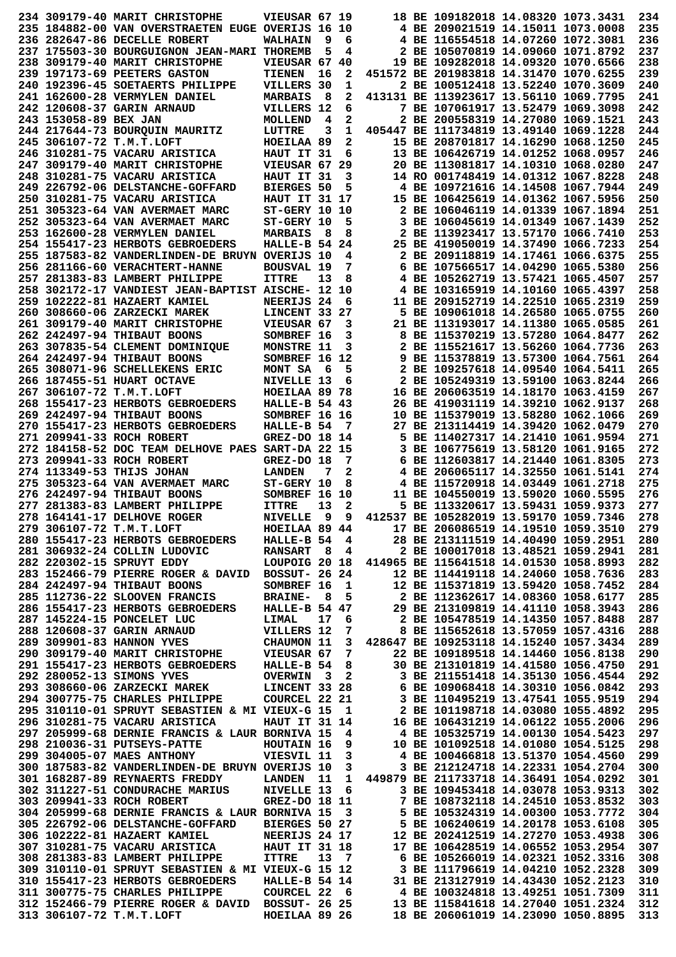|                       | 234 309179-40 MARIT CHRISTOPHE                                                                                                                                                                                                                                                                                          | VIEUSAR 67 19        |              |      |          | 18 BE 109182018 14.08320 1073.3431                                                                             |                                                                                                                                                    | 234        |
|-----------------------|-------------------------------------------------------------------------------------------------------------------------------------------------------------------------------------------------------------------------------------------------------------------------------------------------------------------------|----------------------|--------------|------|----------|----------------------------------------------------------------------------------------------------------------|----------------------------------------------------------------------------------------------------------------------------------------------------|------------|
|                       | 235 184882-00 VAN OVERSTRAETEN EUGE OVERIJS 16 10                                                                                                                                                                                                                                                                       |                      |              |      |          | 4 BE 209021519 14.15011 1073.0008                                                                              |                                                                                                                                                    | 235        |
|                       | 236 282647-86 DECELLE ROBERT                                                                                                                                                                                                                                                                                            | <b>WALHAIN</b>       | 9            | 6    |          | 4 BE 116554518 14.07260 1072.3081                                                                              |                                                                                                                                                    | 236        |
|                       | 237 175503-30 BOURGUIGNON JEAN-MARI THOREMB                                                                                                                                                                                                                                                                             |                      | 5            | 4    |          | 2 BE 105070819 14.09060 1071.8792                                                                              |                                                                                                                                                    | 237        |
|                       | 238 309179-40 MARIT CHRISTOPHE                                                                                                                                                                                                                                                                                          | VIEUSAR 67 40        |              |      |          | 19 BE 109282018 14.09320 1070.6566                                                                             |                                                                                                                                                    | 238        |
|                       |                                                                                                                                                                                                                                                                                                                         |                      |              |      |          |                                                                                                                |                                                                                                                                                    |            |
|                       | 239 197173-69 PEETERS GASTON                                                                                                                                                                                                                                                                                            | TIENEN               | 16           | 2    |          | 451572 BE 201983818 14.31470 1070.6255                                                                         |                                                                                                                                                    | 239        |
|                       | 240 192396-45 SOETAERTS PHILIPPE                                                                                                                                                                                                                                                                                        | VILLERS 30           |              | 1    |          | 2 BE 100512418 13.52240 1070.3609                                                                              |                                                                                                                                                    | 240        |
|                       | 241 162600-28 VERMYLEN DANIEL                                                                                                                                                                                                                                                                                           | <b>MARBAIS</b>       | - 8          | 2    |          | 413131 BE 113923617 13.56110 1069.7795                                                                         |                                                                                                                                                    | 241        |
|                       | 242 120608-37 GARIN ARNAUD                                                                                                                                                                                                                                                                                              | VILLERS 12           |              | 6    |          | 7 BE 107061917 13.52479 1069.3098                                                                              |                                                                                                                                                    | 242        |
| 243 153058-89 BEX JAN |                                                                                                                                                                                                                                                                                                                         | MOLLEND              | 4            | 2    |          | 2 BE 200558319 14.27080 1069.1521                                                                              |                                                                                                                                                    | 243        |
|                       | 244 217644-73 BOUROUIN MAURITZ                                                                                                                                                                                                                                                                                          | LUTTRE               | 3            | 1    |          | 405447 BE 111734819 13.49140 1069.1228                                                                         |                                                                                                                                                    | 244        |
|                       | 245 306107-72 T.M.T.LOFT                                                                                                                                                                                                                                                                                                | HOEILAA 89           |              | 2    |          | 15 BE 208701817 14.16290 1068.1250                                                                             |                                                                                                                                                    | 245        |
|                       | 246 310281-75 VACARU ARISTICA                                                                                                                                                                                                                                                                                           | HAUT IT 31           |              | 6    |          | 13 BE 106426719 14.01252 1068.0957                                                                             |                                                                                                                                                    | 246        |
|                       | 247 309179-40 MARIT CHRISTOPHE                                                                                                                                                                                                                                                                                          | VIEUSAR 67 29        |              |      |          | 20 BE 113081817 14.10310 1068.0280                                                                             |                                                                                                                                                    | 247        |
|                       | 248 310281-75 VACARU ARISTICA                                                                                                                                                                                                                                                                                           | HAUT IT 31           |              | 3    |          | 14 RO 001748419 14.01312 1067.8228                                                                             |                                                                                                                                                    | 248        |
|                       | 249 226792-06 DELSTANCHE-GOFFARD                                                                                                                                                                                                                                                                                        | <b>BIERGES 50</b>    |              | 5    |          | 4 BE 109721616 14.14508 1067.7944                                                                              |                                                                                                                                                    | 249        |
|                       |                                                                                                                                                                                                                                                                                                                         |                      |              |      |          |                                                                                                                |                                                                                                                                                    |            |
|                       | 250 310281-75 VACARU ARISTICA                                                                                                                                                                                                                                                                                           | <b>HAUT IT 31 17</b> |              |      |          | 15 BE 106425619 14.01362 1067.5956                                                                             |                                                                                                                                                    | 250        |
|                       | 251 305323-64 VAN AVERMAET MARC                                                                                                                                                                                                                                                                                         | ST-GERY 10 10        |              |      |          | 2 BE 106046119 14.01339 1067.1894                                                                              |                                                                                                                                                    | 251        |
|                       | 252 305323-64 VAN AVERMAET MARC                                                                                                                                                                                                                                                                                         | ST-GERY 10           |              | 5    |          | 3 BE 106045619 14.01349 1067.1439                                                                              |                                                                                                                                                    | 252        |
|                       | 253 162600-28 VERMYLEN DANIEL                                                                                                                                                                                                                                                                                           | <b>MARBAIS</b>       | - 8          | 8    |          | 2 BE 113923417 13.57170 1066.7410                                                                              |                                                                                                                                                    | 253        |
|                       | 254 155417-23 HERBOTS GEBROEDERS                                                                                                                                                                                                                                                                                        | HALLE-B $54$ 24      |              |      |          | 25 BE 419050019 14.37490 1066.7233                                                                             |                                                                                                                                                    | 254        |
|                       | 255 187583-82 VANDERLINDEN-DE BRUYN OVERIJS 10                                                                                                                                                                                                                                                                          |                      |              | 4    |          | 2 BE 209118819 14.17461 1066.6375                                                                              |                                                                                                                                                    | 255        |
|                       | <b>256 281166-60 VERACHTERT-HANNE</b>                                                                                                                                                                                                                                                                                   | <b>BOUSVAL 19</b>    |              | 7    |          | 6 BE 107566517 14.04290 1065.5380                                                                              |                                                                                                                                                    | 256        |
|                       | 257 281383-83 LAMBERT PHILIPPE                                                                                                                                                                                                                                                                                          | <b>ITTRE</b>         | 13           | 8    |          | 4 BE 105262719 13.57421 1065.4507                                                                              |                                                                                                                                                    | 257        |
|                       | 258 302172-17 VANDIEST JEAN-BAPTIST AISCHE- 12 10                                                                                                                                                                                                                                                                       |                      |              |      |          | 4 BE 103165919 14.10160 1065.4397                                                                              |                                                                                                                                                    | 258        |
|                       | 259 102222-81 HAZAERT KAMIEL                                                                                                                                                                                                                                                                                            | NEERIJS 24           |              | 6    |          | 11 BE 209152719 14.22510 1065.2319                                                                             |                                                                                                                                                    | 259        |
|                       | 260 308660-06 ZARZECKI MAREK                                                                                                                                                                                                                                                                                            | LINCENT 33 27        |              |      |          | 5 BE 109061018 14.26580 1065.0755                                                                              |                                                                                                                                                    | 260        |
|                       |                                                                                                                                                                                                                                                                                                                         |                      |              |      |          | 21 BE 113193017 14.11380 1065.0585                                                                             |                                                                                                                                                    | 261        |
|                       | 261 309179-40 MARIT CHRISTOPHE                                                                                                                                                                                                                                                                                          | VIEUSAR 67           |              | 3    |          |                                                                                                                |                                                                                                                                                    |            |
|                       | 262 242497-94 THIBAUT BOONS                                                                                                                                                                                                                                                                                             | SOMBREF 16           |              | 3    |          | 8 BE 115370219 13.57280 1064.8477                                                                              |                                                                                                                                                    | 262        |
|                       | 263 307835-54 CLEMENT DOMINIQUE                                                                                                                                                                                                                                                                                         | MONSTRE 11           |              | 3    |          | 2 BE 115521617 13.56260 1064.7736                                                                              |                                                                                                                                                    | 263        |
|                       | 264 242497-94 THIBAUT BOONS                                                                                                                                                                                                                                                                                             | SOMBREF 16 12        |              |      |          | 9 BE 115378819 13.57300 1064.7561                                                                              |                                                                                                                                                    | 264        |
|                       | 265 308071-96 SCHELLEKENS ERIC                                                                                                                                                                                                                                                                                          | MONT SA              | - 6          | 5    |          | 2 BE 109257618 14.09540 1064.5411                                                                              |                                                                                                                                                    | 265        |
|                       | 266 187455-51 HUART OCTAVE                                                                                                                                                                                                                                                                                              | NIVELLE 13           |              | 6    |          | 2 BE 105249319 13.59100 1063.8244                                                                              |                                                                                                                                                    | 266        |
|                       | 267 306107-72 T.M.T.LOFT                                                                                                                                                                                                                                                                                                | HOEILAA 89 78        |              |      |          | 16 BE 206063519 14.18170 1063.4159                                                                             |                                                                                                                                                    | 267        |
|                       | 268 155417-23 HERBOTS GEBROEDERS                                                                                                                                                                                                                                                                                        | <b>HALLE-B 54 43</b> |              |      |          | 26 BE 419031119 14.39210 1062.9137                                                                             |                                                                                                                                                    | 268        |
|                       | 269 242497-94 THIBAUT BOONS                                                                                                                                                                                                                                                                                             | SOMBREF 16 16        |              |      |          | 10 BE 115379019 13.58280 1062.1066                                                                             |                                                                                                                                                    | 269        |
|                       | 270 155417-23 HERBOTS GEBROEDERS                                                                                                                                                                                                                                                                                        | HALLE-B 54           |              | 7    |          | 27 BE 213114419 14.39420 1062.0479                                                                             |                                                                                                                                                    | 270        |
|                       | 271 209941-33 ROCH ROBERT                                                                                                                                                                                                                                                                                               |                      |              |      |          | 5 BE 114027317 14.21410 1061.9594                                                                              |                                                                                                                                                    | 271        |
|                       |                                                                                                                                                                                                                                                                                                                         | GREZ-DO 18 14        |              |      |          |                                                                                                                |                                                                                                                                                    |            |
|                       | 272 184158-52 DOC TEAM DELHOVE PAES SART-DA 22 15                                                                                                                                                                                                                                                                       |                      |              |      |          | 3 BE 106775619 13.58120 1061.9165                                                                              |                                                                                                                                                    | 272        |
|                       | 273 209941-33 ROCH ROBERT                                                                                                                                                                                                                                                                                               | GREZ-DO 18           |              | 7    |          | 6 BE 112603817 14.21440 1061.8305                                                                              |                                                                                                                                                    | 273        |
|                       | 274 113349-53 THIJS JOHAN                                                                                                                                                                                                                                                                                               | <b>LANDEN</b>        | 7            | 2    |          | 4 BE 206065117 14.32550 1061.5141                                                                              |                                                                                                                                                    | 274        |
|                       | 275 305323-64 VAN AVERMAET MARC                                                                                                                                                                                                                                                                                         | ST-GERY 10           |              | 8    |          | 4 BE 115720918 14.03449 1061.2718                                                                              |                                                                                                                                                    | 275        |
|                       | 276 242497-94 THIBAUT BOONS                                                                                                                                                                                                                                                                                             | SOMBREF 16 10        |              |      |          | 11 BE 104550019 13.59020 1060.5595                                                                             |                                                                                                                                                    | 276        |
|                       | 277 281383-83 LAMBERT PHILIPPE                                                                                                                                                                                                                                                                                          | <b>ITTRE</b>         | 13           | 2    |          | 5 BE 113320617 13.59431 1059.9373                                                                              |                                                                                                                                                    | 277        |
|                       | 278 164141-17 DELHOVE ROGER                                                                                                                                                                                                                                                                                             | <b>NIVELLE</b>       | $\mathbf{Q}$ | q    |          | 412537 BE 105282019 13.59170 1059.7346                                                                         |                                                                                                                                                    | 278        |
|                       |                                                                                                                                                                                                                                                                                                                         |                      |              |      |          |                                                                                                                |                                                                                                                                                    | 279        |
|                       |                                                                                                                                                                                                                                                                                                                         |                      |              |      |          |                                                                                                                |                                                                                                                                                    |            |
|                       |                                                                                                                                                                                                                                                                                                                         |                      |              |      |          |                                                                                                                |                                                                                                                                                    |            |
|                       |                                                                                                                                                                                                                                                                                                                         |                      |              |      |          |                                                                                                                |                                                                                                                                                    | 280        |
|                       | 279 306107-72 T.M.T.LOFT HOEILAA 89 44 17 BE 206086519 14.19510 1059.3510<br>280 155417-23 HERBOTS GEBROEDERS HALLE-B 54 4 28 BE 213111519 14.40490 1059.2951<br>281 306932-24 COLLIN LUDOVIC RANSART 8 4 2 BE 100017018 13.48521 10                                                                                    |                      |              |      |          |                                                                                                                |                                                                                                                                                    | 281        |
|                       | 282 220302-15 SPRUYT EDDY                                                                                                                                                                                                                                                                                               |                      |              |      |          | LOUPOIG 20 18 414965 BE 115641518 14.01530 1058.8993                                                           |                                                                                                                                                    | 282        |
|                       | 283 152466-79 PIERRE ROGER & DAVID BOSSUT- 26 24                                                                                                                                                                                                                                                                        |                      |              |      |          | 12 BE 114419118 14.24060 1058.7636                                                                             |                                                                                                                                                    | 283        |
|                       | 284 242497-94 THIBAUT BOONS                                                                                                                                                                                                                                                                                             | SOMBREF 16 1         |              |      |          |                                                                                                                |                                                                                                                                                    | 284        |
|                       | 285 112736-22 SLOOVEN FRANCIS                                                                                                                                                                                                                                                                                           | <b>BRAINE-</b>       | 8            | 5    |          |                                                                                                                |                                                                                                                                                    | 285        |
|                       |                                                                                                                                                                                                                                                                                                                         |                      |              |      |          |                                                                                                                |                                                                                                                                                    | 286        |
|                       |                                                                                                                                                                                                                                                                                                                         |                      |              | 17 6 |          |                                                                                                                |                                                                                                                                                    | 287        |
|                       |                                                                                                                                                                                                                                                                                                                         |                      |              |      |          | 7 8 BE 115652618 13.57059 1057.4316                                                                            | 12 BE 115371819 13.59420 1058.7452<br>2 BE 112362617 14.08360 1058.6177<br>29 BE 213109819 14.41110 1058.3943<br>2 BE 105478519 14.14350 1057.8488 | 288        |
|                       |                                                                                                                                                                                                                                                                                                                         |                      |              |      |          | 3 428647 BE 109253118 14.15240 1057.3434                                                                       |                                                                                                                                                    | 289        |
|                       | $\begin{tabular}{lllllllllllllllllll} \textbf{286} & 155417-23 & HERBOTS & GEBROEDERS & HALLE-B & 54 & 47\\ \textbf{287} & 145224-15 & PONEELET LUC & LIMAL & 17 & 6\\ \textbf{288} & 120608-37 & GARIN ARNAUD & VILLERS & 12 & 7\\ \textbf{289} & 309901-83 & HANNON YVES & CHAUMON & 11 & 3\\ \end{tabular}$          |                      |              |      |          |                                                                                                                |                                                                                                                                                    | 290        |
|                       |                                                                                                                                                                                                                                                                                                                         |                      |              |      |          |                                                                                                                |                                                                                                                                                    |            |
|                       |                                                                                                                                                                                                                                                                                                                         |                      |              |      |          |                                                                                                                |                                                                                                                                                    | 291        |
|                       |                                                                                                                                                                                                                                                                                                                         |                      |              |      |          |                                                                                                                |                                                                                                                                                    | 292        |
|                       |                                                                                                                                                                                                                                                                                                                         |                      |              |      |          |                                                                                                                |                                                                                                                                                    | 293        |
|                       |                                                                                                                                                                                                                                                                                                                         |                      |              |      |          |                                                                                                                |                                                                                                                                                    | 294        |
|                       |                                                                                                                                                                                                                                                                                                                         |                      |              |      |          |                                                                                                                |                                                                                                                                                    | 295        |
|                       |                                                                                                                                                                                                                                                                                                                         |                      |              |      |          |                                                                                                                |                                                                                                                                                    | 296        |
|                       |                                                                                                                                                                                                                                                                                                                         |                      |              |      |          |                                                                                                                |                                                                                                                                                    | 297        |
|                       | 289 309901-85 naunon 11-1<br>290 309179-40 MARIT CHRISTOPHE<br>291 155417-23 HERBORT GEBROEDERS<br>292 280052-13 SIMONS VVES<br>293 308660-06 ZARZECKI MAREK<br>293 308660-06 ZARZECKI MAREK<br>293 308660-06 ZARZECKI MAREK<br>294 300775-7<br>298 210036-31 PUTSEYS-PATTE HOUTAIN 16 9                                |                      |              |      |          | 1055.2006 / 1055.2006 105325719 14.00130<br>1054.5423 101000510 14.00130<br>10 BE 101092518 14.01080 1054.5125 |                                                                                                                                                    | 298        |
|                       | 299 304005-07 MAES ANTHONY VIESVIL 11 3                                                                                                                                                                                                                                                                                 |                      |              |      |          | 4 BE 100466818 13.51370 1054.4560                                                                              |                                                                                                                                                    | 299        |
|                       | 300 187583-82 VANDERLINDEN-DE BRUYN OVERIJS 10                                                                                                                                                                                                                                                                          |                      |              |      | $3 \sim$ | 3 BE 212124718 14.22331 1054.2704                                                                              |                                                                                                                                                    | 300        |
|                       | 301 168287-89 REYNAERTS FREDDY LANDEN 11 1 449879 BE 211733718 14.36491 1054.0292                                                                                                                                                                                                                                       |                      |              |      |          |                                                                                                                |                                                                                                                                                    | 301        |
|                       | 302 311227-51 CONDURACHE MARIUS                                                                                                                                                                                                                                                                                         |                      |              |      |          |                                                                                                                |                                                                                                                                                    | 302        |
|                       |                                                                                                                                                                                                                                                                                                                         |                      |              |      |          | NIVELLE 13 6 3 BE 109453418 14.03078 1053.9313                                                                 |                                                                                                                                                    | 303        |
|                       |                                                                                                                                                                                                                                                                                                                         |                      |              |      |          |                                                                                                                |                                                                                                                                                    | 304        |
|                       |                                                                                                                                                                                                                                                                                                                         |                      |              |      |          |                                                                                                                |                                                                                                                                                    |            |
|                       |                                                                                                                                                                                                                                                                                                                         |                      |              |      |          |                                                                                                                |                                                                                                                                                    | 305        |
|                       |                                                                                                                                                                                                                                                                                                                         |                      |              |      |          |                                                                                                                |                                                                                                                                                    | 306        |
|                       |                                                                                                                                                                                                                                                                                                                         |                      |              |      |          |                                                                                                                |                                                                                                                                                    | 307        |
|                       | 303 209941-33 ROCH ROBERT<br>304 205999-68 DERNIE FRANCIS & LAUR BORNIVA 15 3<br>305 226792-06 DELSTANCHE-GOFFARD BIERGES 50 27 5 BE 105324319 14.00300 1053.7772<br>306 102222-81 HAZAERT KAMIEL NEERIJS 24 17 12 BE 202412519 14.2                                                                                    |                      |              |      |          |                                                                                                                |                                                                                                                                                    | 308        |
|                       |                                                                                                                                                                                                                                                                                                                         |                      |              |      |          |                                                                                                                |                                                                                                                                                    | 309        |
|                       |                                                                                                                                                                                                                                                                                                                         |                      |              |      |          |                                                                                                                |                                                                                                                                                    | 310        |
|                       |                                                                                                                                                                                                                                                                                                                         |                      |              |      |          |                                                                                                                |                                                                                                                                                    | 311        |
|                       | 309 310110-01 SPRUYT SEBASTIEN & MI VIEUX-G 15 12<br>310 155417-23 HERBOTS GEBROEDERS HALLE-B 54 14<br>31 BE 213127919 14.43430 1052.2123<br>311 300775-75 CHARLES PHILIPPE COURCEL 22 6 4 BE 100324818 13.49251 1051.7309<br>312 152466-7<br>313 306107-72 T.M.T.LOFT HOEILAA 89 26 18 BE 206061019 14.23090 1050.8895 |                      |              |      |          |                                                                                                                |                                                                                                                                                    | 312<br>313 |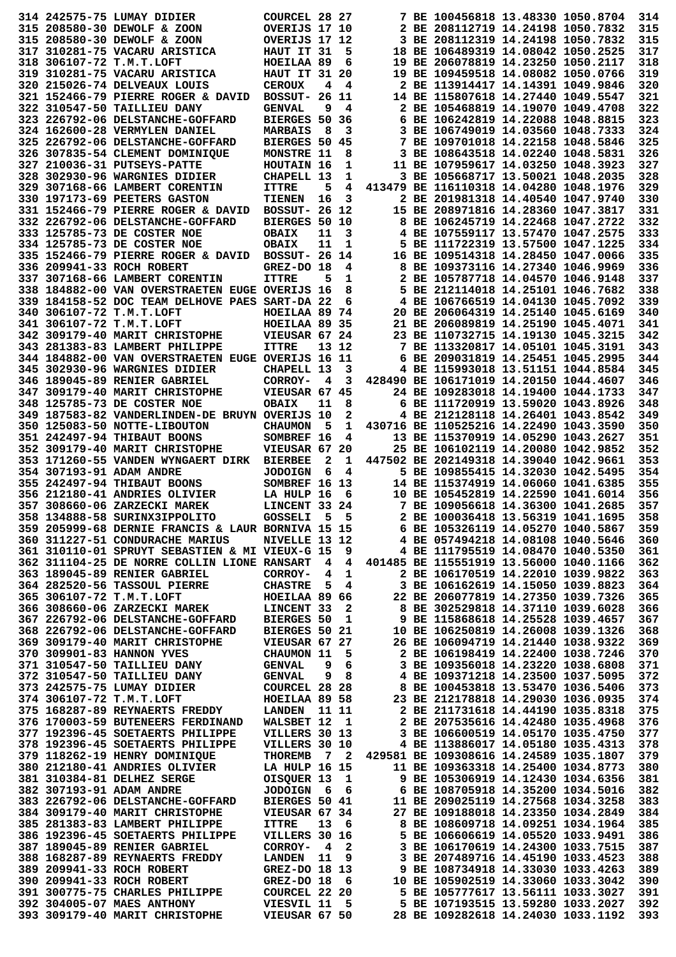|  | 314 242575-75 LUMAY DIDIER                                                                                                                                                                                                           | COURCEL 28 27        |     |       |                                   | 7 BE 100456818 13.48330 1050.8704      |  | 314        |
|--|--------------------------------------------------------------------------------------------------------------------------------------------------------------------------------------------------------------------------------------|----------------------|-----|-------|-----------------------------------|----------------------------------------|--|------------|
|  | 315 208580-30 DEWOLF & ZOON                                                                                                                                                                                                          | OVERIJS 17 10        |     |       |                                   | 2 BE 208112719 14.24198 1050.7832      |  | 315        |
|  | 315 208580-30 DEWOLF & ZOON                                                                                                                                                                                                          | OVERIJS 17 12        |     |       |                                   | 3 BE 208112319 14.24198 1050.7832      |  | 315        |
|  | 317 310281-75 VACARU ARISTICA                                                                                                                                                                                                        | HAUT IT 31           |     | 5     |                                   | 18 BE 106489319 14.08042 1050.2525     |  | 317        |
|  |                                                                                                                                                                                                                                      |                      |     |       |                                   |                                        |  |            |
|  | 318 306107-72 T.M.T.LOFT                                                                                                                                                                                                             | HOEILAA 89           |     | 6     |                                   | 19 BE 206078819 14.23250 1050.2117     |  | 318        |
|  | 319 310281-75 VACARU ARISTICA                                                                                                                                                                                                        | <b>HAUT IT 31 20</b> |     |       |                                   | 19 BE 109459518 14.08082 1050.0766     |  | 319        |
|  | 320 215026-74 DELVEAUX LOUIS                                                                                                                                                                                                         | <b>CEROUX</b>        | 4   | 4     |                                   | 2 BE 113914417 14.14391 1049.9846      |  | 320        |
|  | 321 152466-79 PIERRE ROGER & DAVID                                                                                                                                                                                                   | <b>BOSSUT- 26 11</b> |     |       |                                   | 14 BE 115807618 14.27440 1049.5547     |  | 321        |
|  | 322 310547-50 TAILLIEU DANY                                                                                                                                                                                                          | <b>GENVAL</b>        | 9   | 4     |                                   | 2 BE 105468819 14.19070 1049.4708      |  | 322        |
|  | 323 226792-06 DELSTANCHE-GOFFARD                                                                                                                                                                                                     | BIERGES 50 36        |     |       |                                   | 6 BE 106242819 14.22088 1048.8815      |  | 323        |
|  | 324 162600-28 VERMYLEN DANIEL                                                                                                                                                                                                        | <b>MARBAIS</b>       | - 8 | 3     |                                   | 3 BE 106749019 14.03560 1048.7333      |  | 324        |
|  | 325 226792-06 DELSTANCHE-GOFFARD                                                                                                                                                                                                     | <b>BIERGES 50</b>    |     | 45    |                                   | 7 BE 109701018 14.22158 1048.5846      |  | 325        |
|  | 326 307835-54 CLEMENT DOMINIQUE                                                                                                                                                                                                      | MONSTRE 11           |     | 8     |                                   | 3 BE 108643518 14.02240 1048.5831      |  | 326        |
|  | 327 210036-31 PUTSEYS-PATTE                                                                                                                                                                                                          | HOUTAIN 16           |     | 1     |                                   | 11 BE 107959617 14.03250 1048.3923     |  | 327        |
|  | 328 302930-96 WARGNIES DIDIER                                                                                                                                                                                                        | CHAPELL 13           |     | 1     |                                   | 3 BE 105668717 13.50021 1048.2035      |  | 328        |
|  | 329 307168-66 LAMBERT CORENTIN                                                                                                                                                                                                       | <b>ITTRE</b>         | 5   | 4     |                                   | 413479 BE 116110318 14.04280 1048.1976 |  | 329        |
|  |                                                                                                                                                                                                                                      |                      | 16  | 3     |                                   | 2 BE 201981318 14.40540 1047.9740      |  | 330        |
|  | 330 197173-69 PEETERS GASTON                                                                                                                                                                                                         | <b>TIENEN</b>        |     |       |                                   |                                        |  |            |
|  | 331 152466-79 PIERRE ROGER & DAVID                                                                                                                                                                                                   | <b>BOSSUT- 26 12</b> |     |       |                                   | 15 BE 208971816 14.28360 1047.3817     |  | 331        |
|  | 332 226792-06 DELSTANCHE-GOFFARD                                                                                                                                                                                                     | <b>BIERGES 50 10</b> |     |       |                                   | 8 BE 106245719 14.22468 1047.2722      |  | 332        |
|  | 333 125785-73 DE COSTER NOE                                                                                                                                                                                                          | <b>OBAIX</b>         | 11  | 3     |                                   | 4 BE 107559117 13.57470 1047.2575      |  | 333        |
|  | 334 125785-73 DE COSTER NOE                                                                                                                                                                                                          | <b>OBAIX</b>         | 11  | 1     |                                   | 5 BE 111722319 13.57500 1047.1225      |  | 334        |
|  | 335 152466-79 PIERRE ROGER & DAVID                                                                                                                                                                                                   | <b>BOSSUT- 26 14</b> |     |       |                                   | 16 BE 109514318 14.28450 1047.0066     |  | 335        |
|  | 336 209941-33 ROCH ROBERT                                                                                                                                                                                                            | GREZ-DO 18           |     | 4     |                                   | 8 BE 109373116 14.27340 1046.9969      |  | 336        |
|  | 337 307168-66 LAMBERT CORENTIN                                                                                                                                                                                                       | <b>ITTRE</b>         | 5   | 1     |                                   | 2 BE 105787718 14.04570 1046.9148      |  | 337        |
|  | 338 184882-00 VAN OVERSTRAETEN EUGE OVERIJS 16                                                                                                                                                                                       |                      |     | 8     |                                   | 5 BE 212114018 14.25101 1046.7682      |  | 338        |
|  | 339 184158-52 DOC TEAM DELHOVE PAES SART-DA 22                                                                                                                                                                                       |                      |     | 6     |                                   | 4 BE 106766519 14.04130 1045.7092      |  | 339        |
|  | 340 306107-72 T.M.T.LOFT                                                                                                                                                                                                             | HOEILAA 89 74        |     |       |                                   | 20 BE 206064319 14.25140 1045.6169     |  | 340        |
|  | 341 306107-72 T.M.T.LOFT                                                                                                                                                                                                             | HOEILAA 89 35        |     |       |                                   | 21 BE 206089819 14.25190 1045.4071     |  | 341        |
|  |                                                                                                                                                                                                                                      |                      |     |       |                                   |                                        |  |            |
|  | 342 309179-40 MARIT CHRISTOPHE                                                                                                                                                                                                       | VIEUSAR 67 24        |     |       |                                   | 23 BE 110732715 14.19130 1045.3215     |  | 342        |
|  | 343 281383-83 LAMBERT PHILIPPE                                                                                                                                                                                                       | <b>ITTRE</b>         |     | 13 12 |                                   | 7 BE 113320817 14.05101 1045.3191      |  | 343        |
|  | <b>344 184882-00 VAN OVERSTRAETEN EUGE OVERIJS 16 11</b>                                                                                                                                                                             |                      |     |       |                                   | 6 BE 209031819 14.25451 1045.2995      |  | 344        |
|  | 345 302930-96 WARGNIES DIDIER                                                                                                                                                                                                        | CHAPELL 13           |     | 3     |                                   | 4 BE 115993018 13.51151 1044.8584      |  | 345        |
|  | 346 189045-89 RENIER GABRIEL                                                                                                                                                                                                         | CORROY-              | 4   | 3     |                                   | 428490 BE 106171019 14.20150 1044.4607 |  | 346        |
|  | 347 309179-40 MARIT CHRISTOPHE                                                                                                                                                                                                       | <b>VIEUSAR 67</b>    |     | 45    |                                   | 24 BE 109283018 14.19400 1044.1733     |  | 347        |
|  | 348 125785-73 DE COSTER NOE                                                                                                                                                                                                          | <b>OBAIX</b>         | 11  | 8     |                                   | 6 BE 111720919 13.59020 1043.8926      |  | 348        |
|  | 349 187583-82 VANDERLINDEN-DE BRUYN OVERIJS 10                                                                                                                                                                                       |                      |     | 2     |                                   | 4 BE 212128118 14.26401 1043.8542      |  | 349        |
|  | 350 125083-50 NOTTE-LIBOUTON                                                                                                                                                                                                         | <b>CHAUMON</b>       | 5   | 1     |                                   | 430716 BE 110525216 14.22490 1043.3590 |  | 350        |
|  | 351 242497-94 THIBAUT BOONS                                                                                                                                                                                                          | SOMBREF 16           |     | 4     |                                   | 13 BE 115370919 14.05290 1043.2627     |  | 351        |
|  | 352 309179-40 MARIT CHRISTOPHE                                                                                                                                                                                                       | VIEUSAR 67           |     |       |                                   | 25 BE 106102119 14.20080 1042.9852     |  | 352        |
|  |                                                                                                                                                                                                                                      |                      |     | 20    |                                   |                                        |  |            |
|  | 353 171260-55 VANDEN WYNGAERT DIRK                                                                                                                                                                                                   | <b>BIERBEE</b>       | 2   | 1     |                                   | 447502 BE 202149318 14.39040 1042.9661 |  | 353        |
|  | 354 307193-91 ADAM ANDRE                                                                                                                                                                                                             | <b>JODOIGN</b>       | 6   | 4     |                                   | 5 BE 109855415 14.32030 1042.5495      |  | 354        |
|  | 355 242497-94 THIBAUT BOONS                                                                                                                                                                                                          | SOMBREF 16 13        |     |       |                                   | 14 BE 115374919 14.06060 1041.6385     |  | 355        |
|  | 356 212180-41 ANDRIES OLIVIER                                                                                                                                                                                                        | LA HULP 16           |     | 6     |                                   | 10 BE 105452819 14.22590 1041.6014     |  | 356        |
|  | 357 308660-06 ZARZECKI MAREK                                                                                                                                                                                                         | LINCENT 33 24        |     |       |                                   | 7 BE 109056618 14.36300 1041.2685      |  | 357        |
|  | 358 134888-58 SURINX3IPPOLITO GOSSELI 5 5 2 BE 100036418 13.56319 1041.1695<br>359 205999-68 DERNIE FRANCIS & LAUR BORNIVA 15 15 6 BE 105326119 14.05270 1040.5867<br>360 311227-51 CONDURACHE MARIUS NIVELLE 13 12 4 BE 057494218 1 |                      |     |       |                                   |                                        |  | 358        |
|  |                                                                                                                                                                                                                                      |                      |     |       |                                   |                                        |  | 359        |
|  |                                                                                                                                                                                                                                      |                      |     |       |                                   |                                        |  | 360        |
|  |                                                                                                                                                                                                                                      |                      |     |       |                                   |                                        |  | 361        |
|  | 362 311104-25 DE NORRE COLLIN LIONE RANSART 4 4 401485 BE 115551919 13.56000 1040.1166                                                                                                                                               |                      |     |       |                                   |                                        |  | 362        |
|  |                                                                                                                                                                                                                                      |                      |     |       |                                   |                                        |  |            |
|  |                                                                                                                                                                                                                                      |                      |     |       |                                   |                                        |  |            |
|  |                                                                                                                                                                                                                                      |                      |     |       |                                   |                                        |  | 363        |
|  |                                                                                                                                                                                                                                      |                      |     |       |                                   |                                        |  | 364        |
|  |                                                                                                                                                                                                                                      |                      |     |       |                                   |                                        |  | 365        |
|  |                                                                                                                                                                                                                                      |                      |     |       |                                   |                                        |  | 366        |
|  |                                                                                                                                                                                                                                      |                      |     |       |                                   |                                        |  | 367        |
|  |                                                                                                                                                                                                                                      |                      |     |       |                                   |                                        |  | 368        |
|  |                                                                                                                                                                                                                                      |                      |     |       |                                   |                                        |  | 369        |
|  |                                                                                                                                                                                                                                      |                      |     |       |                                   |                                        |  | 370        |
|  |                                                                                                                                                                                                                                      |                      |     |       |                                   |                                        |  | 371        |
|  |                                                                                                                                                                                                                                      |                      |     |       |                                   |                                        |  | 372        |
|  |                                                                                                                                                                                                                                      |                      |     |       |                                   |                                        |  | 373        |
|  |                                                                                                                                                                                                                                      |                      |     |       |                                   |                                        |  |            |
|  |                                                                                                                                                                                                                                      |                      |     |       |                                   |                                        |  | 374        |
|  |                                                                                                                                                                                                                                      |                      |     |       |                                   |                                        |  | 375        |
|  |                                                                                                                                                                                                                                      |                      |     |       |                                   |                                        |  | 376        |
|  |                                                                                                                                                                                                                                      |                      |     |       |                                   |                                        |  | 377        |
|  | 378 192396-45 SOETAERTS PHILIPPE                                                                                                                                                                                                     | <b>VILLERS 30 10</b> |     |       | 4 BE 113886017 14.05180 1035.4313 |                                        |  | 378        |
|  | 379 118262-19 HENRY DOMINIQUE THOREMB 7 2 429581 BE 109308616 14.24589 1035.1807                                                                                                                                                     |                      |     |       |                                   |                                        |  | 379        |
|  |                                                                                                                                                                                                                                      |                      |     |       |                                   |                                        |  | 380        |
|  |                                                                                                                                                                                                                                      |                      |     |       |                                   |                                        |  | 381        |
|  |                                                                                                                                                                                                                                      |                      |     |       |                                   |                                        |  | 382        |
|  |                                                                                                                                                                                                                                      |                      |     |       |                                   |                                        |  | 383        |
|  |                                                                                                                                                                                                                                      |                      |     |       |                                   |                                        |  | 384        |
|  |                                                                                                                                                                                                                                      |                      |     |       |                                   |                                        |  | 385        |
|  |                                                                                                                                                                                                                                      |                      |     |       |                                   |                                        |  | 386        |
|  |                                                                                                                                                                                                                                      |                      |     |       |                                   |                                        |  | 387        |
|  |                                                                                                                                                                                                                                      |                      |     |       |                                   |                                        |  | 388        |
|  |                                                                                                                                                                                                                                      |                      |     |       |                                   |                                        |  | 389        |
|  |                                                                                                                                                                                                                                      |                      |     |       |                                   |                                        |  |            |
|  |                                                                                                                                                                                                                                      |                      |     |       |                                   |                                        |  | 390        |
|  |                                                                                                                                                                                                                                      |                      |     |       |                                   |                                        |  | 391        |
|  |                                                                                                                                                                                                                                      |                      |     |       |                                   |                                        |  | 392<br>393 |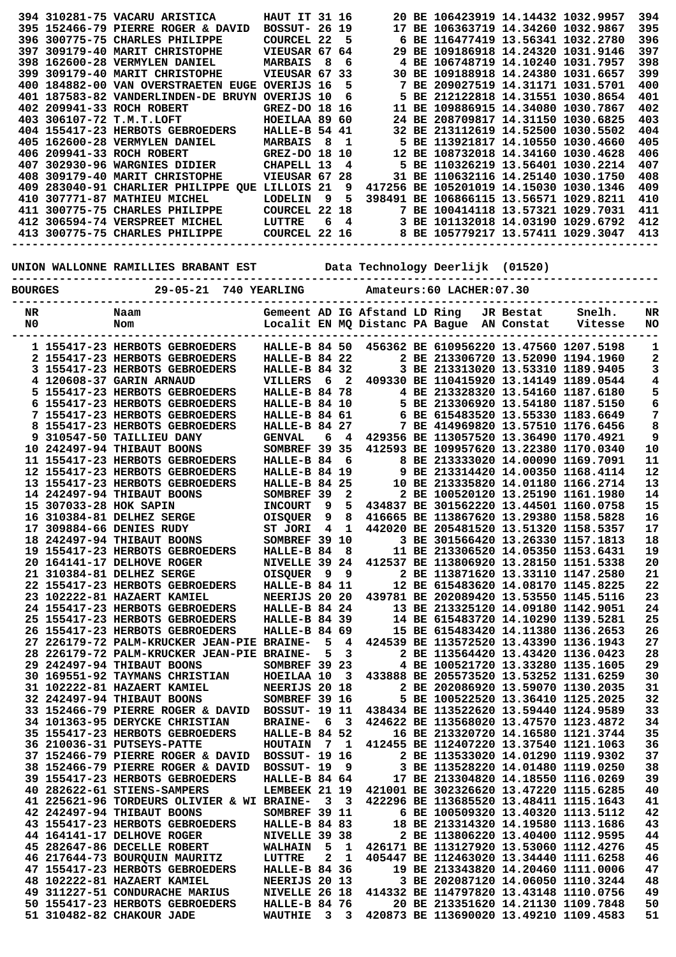|                |                        | 394 310281-75 VACARU ARISTICA                                                      | <b>HAUT IT 31 16</b>                                 |              |                              |  | 20 BE 106423919 14.14432 1032.9957                                               |           |         | 394        |
|----------------|------------------------|------------------------------------------------------------------------------------|------------------------------------------------------|--------------|------------------------------|--|----------------------------------------------------------------------------------|-----------|---------|------------|
|                |                        | 395 152466-79 PIERRE ROGER & DAVID                                                 | <b>BOSSUT- 26 19</b>                                 |              |                              |  | 17 BE 106363719 14.34260 1032.9867                                               |           |         | 395        |
|                |                        | 396 300775-75 CHARLES PHILIPPE<br>397 309179-40 MARIT CHRISTOPHE                   | <b>COURCEL 22</b><br>VIEUSAR 67 64                   |              | 5                            |  | 6 BE 116477419 13.56341 1032.2780<br>29 BE 109186918 14.24320 1031.9146          |           |         | 396<br>397 |
|                |                        | 398 162600-28 VERMYLEN DANIEL                                                      | <b>MARBAIS</b>                                       | - 8          | 6                            |  | 4 BE 106748719 14.10240 1031.7957                                                |           |         | 398        |
|                |                        | 399 309179-40 MARIT CHRISTOPHE                                                     | VIEUSAR 67 33                                        |              |                              |  | 30 BE 109188918 14.24380 1031.6657                                               |           |         | 399        |
|                |                        | 400 184882-00 VAN OVERSTRAETEN EUGE OVERIJS 16                                     |                                                      |              | 5                            |  | 7 BE 209027519 14.31171 1031.5701                                                |           |         | 400        |
|                |                        | 401 187583-82 VANDERLINDEN-DE BRUYN OVERIJS 10                                     |                                                      |              | 6                            |  | 5 BE 212122818 14.31551 1030.8654                                                |           |         | 401        |
|                |                        | 402 209941-33 ROCH ROBERT                                                          | GREZ-DO 18 16                                        |              |                              |  | 11 BE 109886915 14.34080 1030.7867                                               |           |         | 402        |
|                |                        | 403 306107-72 T.M.T.LOFT                                                           | HOEILAA 89 60                                        |              |                              |  | 24 BE 208709817 14.31150 1030.6825                                               |           |         | 403        |
|                |                        | 404 155417-23 HERBOTS GEBROEDERS                                                   | HALLE-B 54 41                                        |              |                              |  | 32 BE 213112619 14.52500 1030.5502                                               |           |         | 404        |
|                |                        | 405 162600-28 VERMYLEN DANIEL<br>406 209941-33 ROCH ROBERT                         | <b>MARBAIS</b><br>GREZ-DO 18 10                      | 8            | - 1                          |  | 5 BE 113921817 14.10550 1030.4660<br>12 BE 108732018 14.34160 1030.4628          |           |         | 405<br>406 |
|                |                        | 407 302930-96 WARGNIES DIDIER                                                      | CHAPELL 13                                           |              | 4                            |  | 5 BE 110326219 13.56401 1030.2214                                                |           |         | 407        |
|                |                        | 408 309179-40 MARIT CHRISTOPHE                                                     | VIEUSAR 67 28                                        |              |                              |  | 31 BE 110632116 14.25140 1030.1750                                               |           |         | 408        |
|                |                        | 409 283040-91 CHARLIER PHILIPPE QUE LILLOIS 21                                     |                                                      |              | 9                            |  | 417256 BE 105201019 14.15030 1030.1346                                           |           |         | 409        |
|                |                        | 410 307771-87 MATHIEU MICHEL                                                       | LODELIN                                              | - 9          | 5                            |  | 398491 BE 106866115 13.56571 1029.8211                                           |           |         | 410        |
|                |                        | 411 300775-75 CHARLES PHILIPPE                                                     | COURCEL 22 18                                        |              |                              |  | 7 BE 100414118 13.57321 1029.7031                                                |           |         | 411        |
|                |                        | 412 306594-74 VERSPREET MICHEL                                                     | <b>LUTTRE</b><br><b>LUTTRE 6 4<br/>COURCEL 22 16</b> |              | 6 <sub>4</sub>               |  | 3 BE 101132018 14.03190 1029.6792                                                |           |         | 412        |
|                |                        | 413 300775-75 CHARLES PHILIPPE                                                     |                                                      |              |                              |  | 8 BE 105779217 13.57411 1029.3047                                                |           |         | 413        |
|                |                        |                                                                                    |                                                      |              |                              |  |                                                                                  |           |         |            |
|                |                        | UNION WALLONNE RAMILLIES BRABANT EST              Data Technology Deerlijk (01520) |                                                      |              |                              |  |                                                                                  |           |         |            |
|                |                        |                                                                                    |                                                      |              |                              |  |                                                                                  |           |         |            |
| <b>BOURGES</b> |                        | 29-05-21 740 YEARLING                                                              |                                                      |              |                              |  | Amateurs:60 LACHER:07.30                                                         |           |         |            |
| NR             |                        | Naam                                                                               | Gemeent AD IG Afstand LD Ring                        |              |                              |  |                                                                                  | JR Bestat | Snelh.  | NR         |
| N <sub>0</sub> |                        | Nom                                                                                |                                                      |              |                              |  | Localit EN MQ Distanc PA Bague AN Constat                                        |           | Vitesse | <b>NO</b>  |
|                |                        |                                                                                    |                                                      |              |                              |  |                                                                                  |           |         |            |
|                |                        | 1 155417-23 HERBOTS GEBROEDERS                                                     | HALLE-B 84 50                                        |              |                              |  | 456362 BE 610956220 13.47560 1207.5198                                           |           |         | 1          |
|                |                        | 2 155417-23 HERBOTS GEBROEDERS                                                     | HALLE-B 84 22                                        |              |                              |  | 2 BE 213306720 13.52090 1194.1960                                                |           |         | 2          |
|                |                        | 3 155417-23 HERBOTS GEBROEDERS<br>4 120608-37 GARIN ARNAUD                         | HALLE-B 84 32                                        | - 6          | $\overline{2}$               |  | 3 BE 213313020 13.53310 1189.9405<br>409330 BE 110415920 13.14149 1189.0544      |           |         | 3          |
|                |                        | 5 155417-23 HERBOTS GEBROEDERS                                                     | VILLERS<br>HALLE-B 84 78                             |              |                              |  | 4 BE 213328320 13.54160 1187.6180                                                |           |         | 4<br>5     |
|                |                        | 6 155417-23 HERBOTS GEBROEDERS                                                     | HALLE-B 84 10                                        |              |                              |  | 5 BE 213306920 13.54180 1187.5150                                                |           |         | 6          |
|                |                        | 7 155417-23 HERBOTS GEBROEDERS                                                     | HALLE-B 84 61                                        |              |                              |  | 6 BE 615483520 13.55330 1183.6649                                                |           |         | 7          |
|                |                        | 8 155417-23 HERBOTS GEBROEDERS                                                     | HALLE-B 84 27                                        |              |                              |  | 7 BE 414969820 13.57510 1176.6456                                                |           |         | 8          |
|                |                        | 9 310547-50 TAILLIEU DANY                                                          | <b>GENVAL</b>                                        |              | 64                           |  | 429356 BE 113057520 13.36490 1170.4921                                           |           |         | 9          |
|                |                        | 10 242497-94 THIBAUT BOONS                                                         | SOMBREF 39 35                                        |              |                              |  | 412593 BE 109957620 13.22380 1170.0340                                           |           |         | 10         |
|                |                        | 11 155417-23 HERBOTS GEBROEDERS                                                    | HALLE-B 84                                           |              | - 6                          |  | 8 BE 213333020 14.00090 1169.7091                                                |           |         | 11         |
|                |                        | 12 155417-23 HERBOTS GEBROEDERS                                                    | <b>HALLE-B 84 19</b>                                 |              |                              |  | 9 BE 213314420 14.00350 1168.4114                                                |           |         | 12         |
|                |                        | 13 155417-23 HERBOTS GEBROEDERS                                                    | HALLE-B 84 25                                        |              |                              |  | 10 BE 213335820 14.01180 1166.2714<br>2 BE 100520120 13.25190 1161.1980          |           |         | 13<br>14   |
|                | 15 307033-28 HOK SAPIN | 14 242497-94 THIBAUT BOONS                                                         | SOMBREF 39<br><b>INCOURT</b>                         | 9            | 2<br>5                       |  | 434837 BE 301562220 13.44501 1160.0758                                           |           |         | 15         |
|                |                        | 16 310384-81 DELHEZ SERGE                                                          | OISQUER                                              | 9            | 8                            |  | 416665 BE 113867620 13.29380 1158.5828                                           |           |         | 16         |
|                |                        | 17 309884-66 DENIES RUDY                                                           | ST JORI 4 1                                          |              |                              |  | 442020 BE 205481520 13.51320 1158.5357                                           |           |         | 17         |
|                |                        | 18 242497-94 THIBAUT BOONS                                                         | SOMBREF 39 10                                        |              |                              |  | 3 BE 301566420 13.26330 1157.1813                                                |           |         | 18         |
|                |                        | 19 155417-23 HERBOTS GEBROEDERS                                                    | HALLE-B 84 8                                         |              |                              |  | 11 BE 213306520 14.05350 1153.6431                                               |           |         | 19         |
|                |                        | 20 164141-17 DELHOVE ROGER                                                         | NIVELLE 39 24                                        |              |                              |  | 412537 BE 113806920 13.28150 1151.5338                                           |           |         | 20         |
|                |                        | 21 310384-81 DELHEZ SERGE                                                          | OISQUER 9 9                                          |              |                              |  | 2 BE 113871620 13.33110 1147.2580                                                |           |         | 21         |
|                |                        | 22 155417-23 HERBOTS GEBROEDERS                                                    | HALLE-B 84 11                                        |              |                              |  |                                                                                  |           |         |            |
|                |                        | 23 102222-81 HAZAERT KAMIEL                                                        |                                                      |              |                              |  | 12 BE 615483620 14.08170 1145.8225                                               |           |         | 22         |
|                |                        |                                                                                    | NEERIJS 20 20                                        |              |                              |  | 439781 BE 202089420 13.53550 1145.5116                                           |           |         | 23         |
|                |                        | 24 155417-23 HERBOTS GEBROEDERS                                                    | <b>HALLE-B 84 24</b>                                 |              |                              |  | 13 BE 213325120 14.09180 1142.9051                                               |           |         | 24         |
|                |                        | 25 155417-23 HERBOTS GEBROEDERS                                                    | HALLE-B 84 39                                        |              |                              |  | 14 BE 615483720 14.10290 1139.5281                                               |           |         | 25         |
|                |                        | 26 155417-23 HERBOTS GEBROEDERS<br>27 226179-72 PALM-KRUCKER JEAN-PIE BRAINE-      | <b>HALLE-B 84 69</b>                                 |              | 5 4                          |  | 15 BE 615483420 14.11380 1136.2653                                               |           |         | 26<br>27   |
|                |                        | 28 226179-72 PALM-KRUCKER JEAN-PIE BRAINE-                                         |                                                      | 5            | 3                            |  | 424539 BE 113572520 13.43390 1136.1943<br>2 BE 113564420 13.43420 1136.0423      |           |         | 28         |
|                |                        | 29 242497-94 THIBAUT BOONS                                                         | SOMBREF 39 23                                        |              |                              |  | 4 BE 100521720 13.33280 1135.1605                                                |           |         | 29         |
|                |                        | 30 169551-92 TAYMANS CHRISTIAN                                                     | HOEILAA 10 3                                         |              |                              |  | 433888 BE 205573520 13.53252 1131.6259                                           |           |         | 30         |
|                |                        | 31 102222-81 HAZAERT KAMIEL                                                        | NEERIJS 20 18                                        |              |                              |  | 2 BE 202086920 13.59070 1130.2035                                                |           |         | 31         |
|                |                        | 32 242497-94 THIBAUT BOONS                                                         | SOMBREF 39 16                                        |              |                              |  | 5 BE 100522520 13.36410 1125.2025                                                |           |         | 32         |
|                |                        | 33 152466-79 PIERRE ROGER & DAVID                                                  | <b>BOSSUT- 19 11</b>                                 |              |                              |  | 438434 BE 113522620 13.59440 1124.9589                                           |           |         | 33         |
|                |                        | 34 101363-95 DERYCKE CHRISTIAN                                                     | <b>BRAINE-</b>                                       | 63           |                              |  | 424622 BE 113568020 13.47570 1123.4872                                           |           |         | 34         |
|                |                        | 35 155417-23 HERBOTS GEBROEDERS                                                    | <b>HALLE-B 84 52</b>                                 |              |                              |  | 16 BE 213320720 14.16580 1121.3744                                               |           |         | 35         |
|                |                        | 36 210036-31 PUTSEYS-PATTE<br>37 152466-79 PIERRE ROGER & DAVID BOSSUT- 19 16      | HOUTAIN 7 1                                          |              |                              |  | 412455 BE 112407220 13.37540 1121.1063<br>2 BE 113533020 14.01290 1119.9302      |           |         | 36         |
|                |                        | 38 152466-79 PIERRE ROGER & DAVID BOSSUT- 19 9                                     |                                                      |              |                              |  | 3 BE 113528220 14.01480 1119.0250                                                |           |         | 37<br>38   |
|                |                        | 39 155417-23 HERBOTS GEBROEDERS                                                    | HALLE-B 84 64                                        |              |                              |  | 17 BE 213304820 14.18550 1116.0269                                               |           |         | 39         |
|                |                        | 40 282622-61 STIENS-SAMPERS                                                        | LEMBEEK 21 19                                        |              |                              |  | 421001 BE 302326620 13.47220 1115.6285                                           |           |         | 40         |
|                |                        | 41 225621-96 TORDEURS OLIVIER & WI BRAINE- 3 3                                     |                                                      |              |                              |  | 422296 BE 113685520 13.48411 1115.1643                                           |           |         | 41         |
|                |                        | 42 242497-94 THIBAUT BOONS                                                         | SOMBREF 39 11                                        |              |                              |  | 6 BE 100509320 13.40320 1113.5112                                                |           |         | 42         |
|                |                        | 43 155417-23 HERBOTS GEBROEDERS                                                    | HALLE-B 84 83                                        |              |                              |  | 18 BE 213314320 14.19580 1113.1686                                               |           |         | 43         |
|                |                        | 44 164141-17 DELHOVE ROGER                                                         | NIVELLE 39 38                                        |              |                              |  | 2 BE 113806220 13.40400 1112.9595                                                |           |         | 44         |
|                |                        | 45 282647-86 DECELLE ROBERT<br>46 217644-73 BOURQUIN MAURITZ                       | WALHAIN 5<br>LUTTRE                                  | $\mathbf{2}$ | $\mathbf{1}$<br>$\mathbf{1}$ |  | 426171 BE 113127920 13.53060 1112.4276<br>405447 BE 112463020 13.34440 1111.6258 |           |         | 45         |
|                |                        | 47 155417-23 HERBOTS GEBROEDERS                                                    | HALLE-B 84 36                                        |              |                              |  | 19 BE 213343820 14.20460 1111.0006                                               |           |         | 46<br>47   |
|                |                        | 48 102222-81 HAZAERT KAMIEL                                                        | NEERIJS 20 13                                        |              |                              |  | 3 BE 202087120 14.06050 1110.3244                                                |           |         | 48         |
|                |                        | 49 311227-51 CONDURACHE MARIUS                                                     | NIVELLE 26 18                                        |              |                              |  | 414332 BE 114797820 13.43148 1110.0756                                           |           |         | 49         |
|                |                        | 50 155417-23 HERBOTS GEBROEDERS<br>51 310482-82 CHAKOUR JADE                       | <b>HALLE-B 84 76</b><br>WAUTHIE 3 3                  |              |                              |  | 20 BE 213351620 14.21130 1109.7848<br>420873 BE 113690020 13.49210 1109.4583     |           |         | 50<br>51   |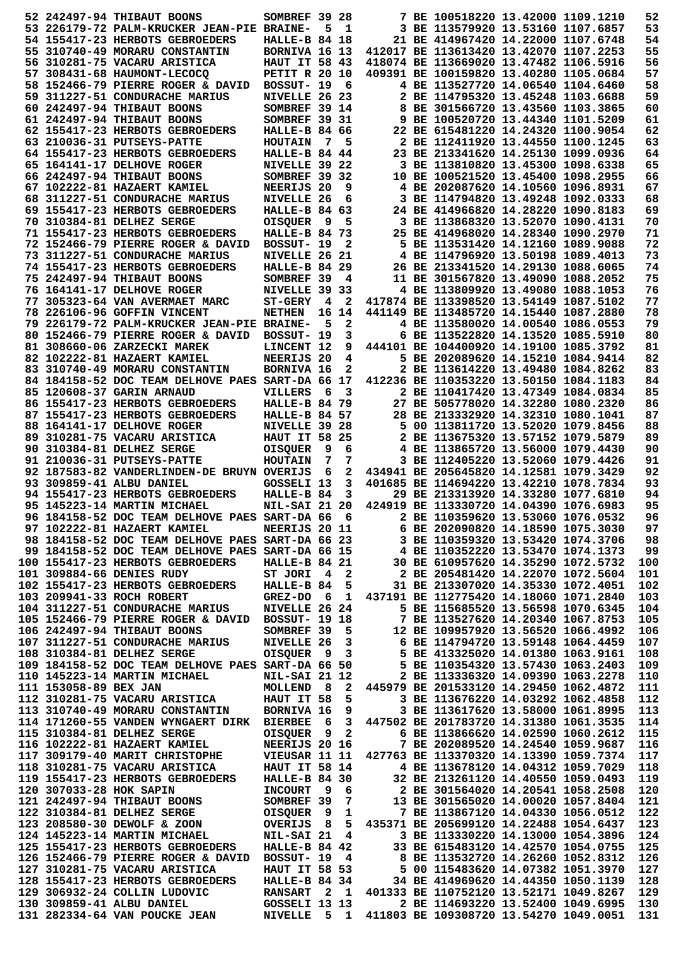|                       | 52 242497-94 THIBAUT BOONS                                                                                                                                                                                                          | SOMBREF 39 28                   |                |              | 7 BE 100518220 13.42000 1109.1210                  |  | 52         |
|-----------------------|-------------------------------------------------------------------------------------------------------------------------------------------------------------------------------------------------------------------------------------|---------------------------------|----------------|--------------|----------------------------------------------------|--|------------|
|                       | 53 226179-72 PALM-KRUCKER JEAN-PIE BRAINE-                                                                                                                                                                                          |                                 | 5              | $\mathbf{1}$ | 3 BE 113579920 13.53160 1107.6857                  |  | 53         |
|                       | 54 155417-23 HERBOTS GEBROEDERS                                                                                                                                                                                                     | HALLE-B 84 18                   |                |              | 21 BE 414967420 14.22000 1107.6748                 |  | 54         |
|                       | 55 310740-49 MORARU CONSTANTIN                                                                                                                                                                                                      | BORNIVA 16 13                   |                |              | 412017 BE 113613420 13.42070 1107.2253             |  | 55         |
|                       | 56 310281-75 VACARU ARISTICA                                                                                                                                                                                                        | <b>HAUT IT 58 43</b>            |                |              | 418074 BE 113669020 13.47482 1106.5916             |  | 56         |
|                       | 57 308431-68 HAUMONT-LECOCO                                                                                                                                                                                                         | <b>PETIT R 20 10</b>            |                |              | 409391 BE 100159820 13.40280 1105.0684             |  | 57         |
|                       | 58 152466-79 PIERRE ROGER & DAVID                                                                                                                                                                                                   | BOSSUT-19 6                     |                |              | 4 BE 113527720 14.06540 1104.6460                  |  | 58         |
|                       | 59 311227-51 CONDURACHE MARIUS                                                                                                                                                                                                      | NIVELLE 26 23                   |                |              | 2 BE 114795320 13.45248 1103.6688                  |  | 59         |
|                       | 60 242497-94 THIBAUT BOONS                                                                                                                                                                                                          | SOMBREF 39 14                   |                |              | 8 BE 301566720 13.43560 1103.3865                  |  | 60         |
|                       | 61 242497-94 THIBAUT BOONS                                                                                                                                                                                                          | SOMBREF 39 31                   |                |              | 9 BE 100520720 13.44340 1101.5209                  |  | 61         |
|                       | 62 155417-23 HERBOTS GEBROEDERS                                                                                                                                                                                                     | <b>HALLE-B 84 66</b>            |                |              | 22 BE 615481220 14.24320 1100.9054                 |  | 62         |
|                       | 63 210036-31 PUTSEYS-PATTE                                                                                                                                                                                                          | <b>HOUTAIN</b>                  | 7              | 5            | 2 BE 112411920 13.44550 1100.1245                  |  | 63         |
|                       | 64 155417-23 HERBOTS GEBROEDERS                                                                                                                                                                                                     | HALLE-B 84 44                   |                |              | 23 BE 213341620 14.25130 1099.0936                 |  | 64         |
|                       | 65 164141-17 DELHOVE ROGER                                                                                                                                                                                                          | NIVELLE 39 22                   |                |              | 3 BE 113810820 13.45300 1098.6338                  |  | 65         |
|                       | 66 242497-94 THIBAUT BOONS                                                                                                                                                                                                          | SOMBREF 39 32                   |                |              | 10 BE 100521520 13.45400 1098.2955                 |  | 66         |
|                       |                                                                                                                                                                                                                                     | NEERIJS 20                      |                | 9            | 4 BE 202087620 14.10560 1096.8931                  |  | 67         |
|                       | 67 102222-81 HAZAERT KAMIEL                                                                                                                                                                                                         | NIVELLE 26                      |                | 6            | 3 BE 114794820 13.49248 1092.0333                  |  | 68         |
|                       | 68 311227-51 CONDURACHE MARIUS<br>69 155417-23 HERBOTS GEBROEDERS                                                                                                                                                                   | <b>HALLE-B 84 63</b>            |                |              | 24 BE 414966820 14.28220 1090.8183                 |  | 69         |
|                       |                                                                                                                                                                                                                                     |                                 | - 9            | 5            | 3 BE 113868320 13.52070 1090.4131                  |  | 70         |
|                       | 70 310384-81 DELHEZ SERGE<br>71 155417-23 HERBOTS GEBROEDERS                                                                                                                                                                        | <b>OISQUER</b><br>HALLE-B 84 73 |                |              | 25 BE 414968020 14.28340 1090.2970                 |  |            |
|                       |                                                                                                                                                                                                                                     |                                 |                |              | 5 BE 113531420 14.12160 1089.9088                  |  | 71<br>72   |
|                       | 72 152466-79 PIERRE ROGER & DAVID                                                                                                                                                                                                   | BOSSUT- 19<br>NIVELLE 26 21     |                | 2            |                                                    |  | 73         |
|                       | 73 311227-51 CONDURACHE MARIUS                                                                                                                                                                                                      |                                 |                |              | 4 BE 114796920 13.50198 1089.4013                  |  |            |
|                       | 74 155417-23 HERBOTS GEBROEDERS                                                                                                                                                                                                     | <b>HALLE-B 84 29</b>            |                |              | 26 BE 213341520 14.29130 1088.6065                 |  | 74         |
|                       | 75 242497-94 THIBAUT BOONS                                                                                                                                                                                                          | SOMBREF 39                      |                | 4            | 11 BE 301567820 13.49090 1088.2052                 |  | 75         |
|                       | 76 164141-17 DELHOVE ROGER                                                                                                                                                                                                          | NIVELLE 39 33                   |                |              | 4 BE 113809920 13.49080 1088.1053                  |  | 76         |
|                       | 77 305323-64 VAN AVERMAET MARC                                                                                                                                                                                                      | <b>ST-GERY</b>                  | $\overline{4}$ | $\mathbf{2}$ | 417874 BE 113398520 13.54149 1087.5102             |  | 77         |
|                       | 78 226106-96 GOFFIN VINCENT                                                                                                                                                                                                         | <b>NETHEN</b>                   |                | 16 14        | 441149 BE 113485720 14.15440 1087.2880             |  | 78         |
|                       | 79 226179-72 PALM-KRUCKER JEAN-PIE BRAINE-                                                                                                                                                                                          |                                 | 5              | 2            | 4 BE 113580020 14.00540 1086.0553                  |  | 79         |
|                       | 80 152466-79 PIERRE ROGER & DAVID                                                                                                                                                                                                   | BOSSUT- 19                      |                | 3            | 6 BE 113522820 14.13520 1085.5910                  |  | 80         |
|                       | 81 308660-06 ZARZECKI MAREK                                                                                                                                                                                                         | LINCENT 12                      |                | 9            | 444101 BE 104400920 14.19100 1085.3792             |  | 81         |
|                       | 82 102222-81 HAZAERT KAMIEL                                                                                                                                                                                                         | NEERIJS 20                      |                | 4            | 5 BE 202089620 14.15210 1084.9414                  |  | 82         |
|                       | 83 310740-49 MORARU CONSTANTIN                                                                                                                                                                                                      | <b>BORNIVA 16</b>               |                | 2            | 2 BE 113614220 13.49480 1084.8262                  |  | 83         |
|                       | 84 184158-52 DOC TEAM DELHOVE PAES SART-DA 66 17                                                                                                                                                                                    |                                 |                |              | 412236 BE 110353220 13.50150 1084.1183             |  | 84         |
|                       | 85 120608-37 GARIN ARNAUD                                                                                                                                                                                                           | VILLERS                         | 6              | 3            | 2 BE 110417420 13.47349 1084.0834                  |  | 85         |
|                       | 86 155417-23 HERBOTS GEBROEDERS                                                                                                                                                                                                     | HALLE-B 84 79                   |                |              | 27 BE 505778020 14.32280 1080.2320                 |  | 86         |
|                       | 87 155417-23 HERBOTS GEBROEDERS                                                                                                                                                                                                     | <b>HALLE-B 84 57</b>            |                |              | 28 BE 213332920 14.32310 1080.1041                 |  | 87         |
|                       | 88 164141-17 DELHOVE ROGER                                                                                                                                                                                                          | NIVELLE 39 28                   |                |              | 5 00 113811720 13.52020 1079.8456                  |  | 88         |
|                       | 89 310281-75 VACARU ARISTICA                                                                                                                                                                                                        | <b>HAUT IT 58 25</b>            |                |              | 2 BE 113675320 13.57152 1079.5879                  |  | 89         |
|                       | 90 310384-81 DELHEZ SERGE                                                                                                                                                                                                           | <b>OISQUER</b>                  | 9              | 6            | 4 BE 113865720 13.56000 1079.4430                  |  | 90         |
|                       | 91 210036-31 PUTSEYS-PATTE                                                                                                                                                                                                          | <b>HOUTAIN</b>                  | 7              | 7            | 3 BE 112405220 13.52060 1079.4426                  |  | 91         |
|                       | 92 187583-82 VANDERLINDEN-DE BRUYN OVERIJS                                                                                                                                                                                          |                                 | - 6            | 2            | 434941 BE 205645820 14.12581 1079.3429             |  | 92         |
|                       | 93 309859-41 ALBU DANIEL                                                                                                                                                                                                            | GOSSELI 13                      |                | 3            | 401685 BE 114694220 13.42210 1078.7834             |  | 93         |
|                       | 94 155417-23 HERBOTS GEBROEDERS                                                                                                                                                                                                     | HALLE-B 84                      |                | 3            | 29 BE 213313920 14.33280 1077.6810                 |  | 94         |
|                       | 95 145223-14 MARTIN MICHAEL                                                                                                                                                                                                         | <b>NIL-SAI 21 20</b>            |                |              | 424919 BE 113330720 14.04390 1076.6983             |  | 95         |
|                       | 96 184158-52 DOC TEAM DELHOVE PAES SART-DA 66 6 2 BE 110359620 13.53060 1076.0532<br>97 102222-81 HAZAERT KAMIEL NEERIJS 20 11 6 BE 202090820 14.18590 1075.3030<br>98 184158-52 DOC TEAM DELHOVE PAES SART-DA 66 23 3 BE 110359320 |                                 |                |              |                                                    |  | 96         |
|                       |                                                                                                                                                                                                                                     |                                 |                |              |                                                    |  | 97         |
|                       |                                                                                                                                                                                                                                     |                                 |                |              |                                                    |  | 98         |
|                       |                                                                                                                                                                                                                                     |                                 |                |              |                                                    |  | 99         |
|                       | 100 155417-23 HERBOTS GEBROEDERS                                                                                                                                                                                                    |                                 |                |              |                                                    |  | 100        |
|                       | 101 309884-66 DENIES RUDY                                                                                                                                                                                                           | ST JORI 42                      |                |              | 2 BE 205481420 14.22070 1072.5604                  |  | 101        |
|                       | 102 155417-23 HERBOTS GEBROEDERS                                                                                                                                                                                                    | HALLE-B $84\overline{5}$        |                |              | 31 BE 213307020 14.35330 1072.4051                 |  | 102        |
|                       | 103 209941-33 ROCH ROBERT                                                                                                                                                                                                           |                                 |                |              | GREZ-DO 6 1 437191 BE 112775420 14.18060 1071.2840 |  | 103        |
|                       | 104 311227-51 CONDURACHE MARIUS NIVELLE 26 24                                                                                                                                                                                       |                                 |                |              | 5 BE 115685520 13.56598 1070.6345                  |  | 104        |
|                       |                                                                                                                                                                                                                                     |                                 |                |              |                                                    |  | 105        |
|                       |                                                                                                                                                                                                                                     |                                 |                |              |                                                    |  | 106        |
|                       |                                                                                                                                                                                                                                     |                                 |                |              |                                                    |  | 107        |
|                       |                                                                                                                                                                                                                                     |                                 |                |              |                                                    |  | 108        |
|                       | 104 31227-51 CONDUKACHE MAKIUS NIVELLE 26 24 5 BE 115685520 13.56538 1070.6345<br>105 152466-79 PIERRE ROGER & DAVID BOSSUT- 19 18 7 BE 113527620 14.20340 1067.8753<br>106 242497-94 THIBAUT BOONS SOMBREF 39 5 12 BE 109957920 1  |                                 |                |              |                                                    |  | 109        |
|                       | 110 145223-14 MARTIN MICHAEL                                                                                                                                                                                                        | <b>NIL-SAI 21 12</b>            |                |              | 2 BE 113336320 14.09390 1063.2278                  |  | 110        |
| 111 153058-89 BEX JAN |                                                                                                                                                                                                                                     |                                 |                |              | MOLLEND 8 2 445979 BE 201533120 14.29450 1062.4872 |  | 111        |
|                       | 112 310281-75 VACARU ARISTICA HAUT IT 58                                                                                                                                                                                            |                                 |                |              | 5 3 BE 113676220 14.03292 1062.4858                |  | 112        |
|                       | 113 310740-49 MORARU CONSTANTIN BORNIVA 16 9 3 BE 113617620 13.58000 1061.8995                                                                                                                                                      |                                 |                |              |                                                    |  | 113        |
|                       | 114 171260-55 VANDEN WYNGAERT DIRK BIERBEE 6 3 447502 BE 201783720 14.31380 1061.3535                                                                                                                                               |                                 |                |              |                                                    |  | 114        |
|                       | 115 310384-81 DELHEZ SERGE                                                                                                                                                                                                          | OISQUER 9 2                     |                |              | 6 BE 113866620 14.02590 1060.2612                  |  | 115        |
|                       | 116 102222-81 HAZAERT KAMIEL                                                                                                                                                                                                        | <b>NEERIJS 20 16</b>            |                |              | 7 BE 202089520 14.24540 1059.9687                  |  | 116        |
|                       |                                                                                                                                                                                                                                     |                                 |                |              |                                                    |  | 117        |
|                       |                                                                                                                                                                                                                                     |                                 |                |              |                                                    |  | 118        |
|                       |                                                                                                                                                                                                                                     |                                 |                |              |                                                    |  | 119        |
|                       |                                                                                                                                                                                                                                     |                                 |                |              |                                                    |  | 120        |
|                       |                                                                                                                                                                                                                                     |                                 |                |              |                                                    |  | 121        |
|                       |                                                                                                                                                                                                                                     |                                 |                |              |                                                    |  | 122        |
|                       |                                                                                                                                                                                                                                     |                                 |                |              |                                                    |  | 123        |
|                       |                                                                                                                                                                                                                                     |                                 |                |              |                                                    |  | 124        |
|                       |                                                                                                                                                                                                                                     |                                 |                |              |                                                    |  | 125        |
|                       |                                                                                                                                                                                                                                     |                                 |                |              |                                                    |  | 126        |
|                       |                                                                                                                                                                                                                                     |                                 |                |              |                                                    |  | 127        |
|                       |                                                                                                                                                                                                                                     |                                 |                |              |                                                    |  |            |
|                       |                                                                                                                                                                                                                                     |                                 |                |              |                                                    |  |            |
|                       | 128 155417-23 HERBOTS GEBROEDERS                                                                                                                                                                                                    |                                 |                |              | HALLE-B 84 34 34 BE 414969620 14.44350 1050.1139   |  | 128        |
|                       |                                                                                                                                                                                                                                     |                                 |                |              |                                                    |  | 129        |
|                       | 129 306932-24 COLLIN LUDOVIC<br>130 309859-41 ALBU DANIEL GOSSELI 13 13 2 BE 114693220 13.52171 1049.6267<br>131 282334-64 VAN POUCKE JEAN NIVELLE 5 1 411803 BE 109308720 13.52470 1049.0051                                       |                                 |                |              |                                                    |  | 130<br>131 |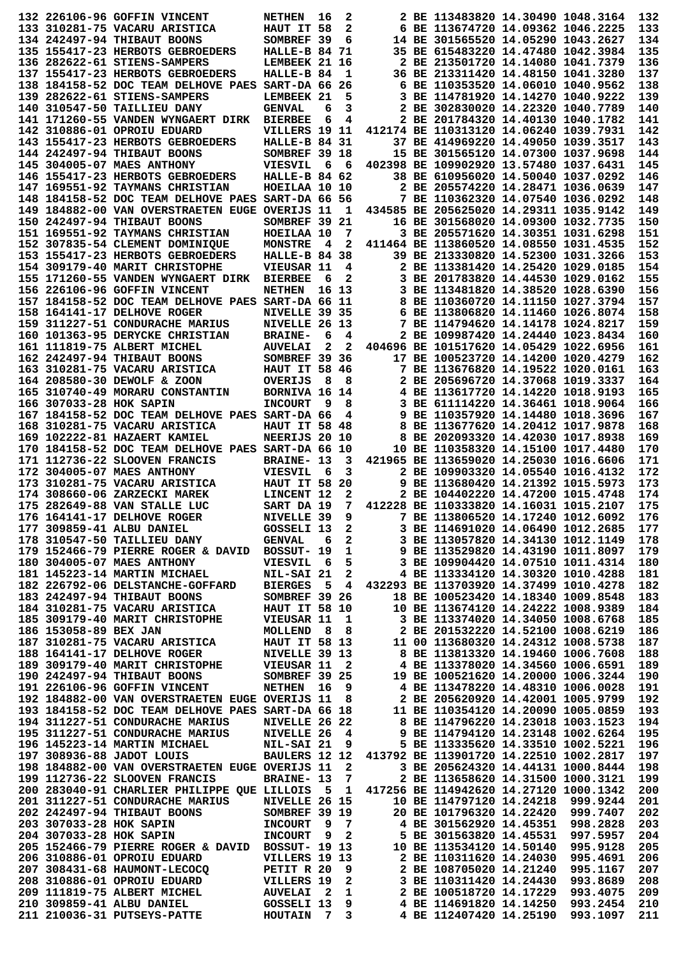|                         | 132 226106-96 GOFFIN VINCENT                                                                                                                                                                                                             | <b>NETHEN</b>                          | 16    | 2                       | 2 BE 113483820 14.30490 1048.3164          |          | 132 |
|-------------------------|------------------------------------------------------------------------------------------------------------------------------------------------------------------------------------------------------------------------------------------|----------------------------------------|-------|-------------------------|--------------------------------------------|----------|-----|
|                         | 133 310281-75 VACARU ARISTICA                                                                                                                                                                                                            | HAUT IT 58                             |       | 2                       | 6 BE 113674720 14.09362 1046.2225          |          | 133 |
|                         | 134 242497-94 THIBAUT BOONS                                                                                                                                                                                                              | SOMBREF 39                             |       | 6                       | 14 BE 301565520 14.05290 1043.2627         |          | 134 |
|                         | 135 155417-23 HERBOTS GEBROEDERS                                                                                                                                                                                                         | HALLE-B 84 71                          |       |                         | 35 BE 615483220 14.47480 1042.3984         |          | 135 |
|                         | 136 282622-61 STIENS-SAMPERS                                                                                                                                                                                                             | LEMBEEK 21 16                          |       |                         | 2 BE 213501720 14.14080 1041.7379          |          | 136 |
|                         | 137 155417-23 HERBOTS GEBROEDERS                                                                                                                                                                                                         | HALLE-B 84                             |       | 1                       | 36 BE 213311420 14.48150 1041.3280         |          | 137 |
|                         | 138 184158-52 DOC TEAM DELHOVE PAES SART-DA 66 26                                                                                                                                                                                        |                                        |       |                         | 6 BE 110353520 14.06010 1040.9562          |          | 138 |
|                         | 139 282622-61 STIENS-SAMPERS                                                                                                                                                                                                             | LEMBEEK 21                             |       | 5                       | 3 BE 114781920 14.14270 1040.9222          |          | 139 |
|                         | 140 310547-50 TAILLIEU DANY                                                                                                                                                                                                              | <b>GENVAL</b>                          | 6     | 3                       | 2 BE 302830020 14.22320 1040.7789          |          | 140 |
|                         | 141 171260-55 VANDEN WYNGAERT DIRK                                                                                                                                                                                                       | <b>BIERBEE</b>                         | 6     | 4                       | 2 BE 201784320 14.40130 1040.1782          |          | 141 |
|                         | 142 310886-01 OPROIU EDUARD                                                                                                                                                                                                              | VILLERS 19 11                          |       |                         | 412174 BE 110313120 14.06240 1039.7931     |          | 142 |
|                         | 143 155417-23 HERBOTS GEBROEDERS                                                                                                                                                                                                         | HALLE-B 84 31                          |       |                         | 37 BE 414969220 14.49050 1039.3517         |          | 143 |
|                         | 144 242497-94 THIBAUT BOONS                                                                                                                                                                                                              | SOMBREF 39 18                          |       |                         | 15 BE 301565120 14.07300 1037.9698         |          | 144 |
|                         | 145 304005-07 MAES ANTHONY                                                                                                                                                                                                               | VIESVIL                                | - 6   | - 6                     | 402398 BE 109902920 13.57480 1037.6431     |          | 145 |
|                         | 146 155417-23 HERBOTS GEBROEDERS                                                                                                                                                                                                         | HALLE-B 84 62                          |       |                         | 38 BE 610956020 14.50040 1037.0292         |          | 146 |
|                         | 147 169551-92 TAYMANS CHRISTIAN                                                                                                                                                                                                          | HOEILAA 10 10                          |       |                         | 2 BE 205574220 14.28471 1036.0639          |          | 147 |
|                         | 148 184158-52 DOC TEAM DELHOVE PAES SART-DA 66 56                                                                                                                                                                                        |                                        |       |                         | 7 BE 110362320 14.07540 1036.0292          |          | 148 |
|                         | 149 184882-00 VAN OVERSTRAETEN EUGE OVERIJS 11                                                                                                                                                                                           |                                        |       | 1                       | 434585 BE 205625020 14.29311 1035.9142     |          | 149 |
|                         | 150 242497-94 THIBAUT BOONS                                                                                                                                                                                                              | SOMBREF 39 21                          |       |                         | 16 BE 301568020 14.09300 1032.7735         |          | 150 |
|                         | <b>151 169551-92 TAYMANS CHRISTIAN</b>                                                                                                                                                                                                   | HOEILAA 10                             |       | 7                       | 3 BE 205571620 14.30351 1031.6298          |          | 151 |
|                         | 152 307835-54 CLEMENT DOMINIQUE                                                                                                                                                                                                          | <b>MONSTRE</b>                         | 4     | 2                       | 411464 BE 113860520 14.08550 1031.4535     |          | 152 |
|                         | 153 155417-23 HERBOTS GEBROEDERS                                                                                                                                                                                                         | HALLE-B 84 38                          |       |                         | 39 BE 213330820 14.52300 1031.3266         |          | 153 |
|                         | 154 309179-40 MARIT CHRISTOPHE                                                                                                                                                                                                           | VIEUSAR 11                             |       | 4                       | 2 BE 113381420 14.25420 1029.0185          |          | 154 |
|                         | 155 171260-55 VANDEN WYNGAERT DIRK                                                                                                                                                                                                       | <b>BIERBEE</b>                         | 6     | 2                       | 3 BE 201783820 14.44530 1029.0162          |          | 155 |
|                         | 156 226106-96 GOFFIN VINCENT                                                                                                                                                                                                             | <b>NETHEN</b>                          | 16 13 |                         | 3 BE 113481820 14.38520 1028.6390          |          | 156 |
|                         | 157 184158-52 DOC TEAM DELHOVE PAES SART-DA 66 11                                                                                                                                                                                        |                                        |       |                         | 8 BE 110360720 14.11150 1027.3794          |          | 157 |
|                         | 158 164141-17 DELHOVE ROGER                                                                                                                                                                                                              | NIVELLE 39 35                          |       |                         | 6 BE 113806820 14.11460 1026.8074          |          | 158 |
|                         | 159 311227-51 CONDURACHE MARIUS                                                                                                                                                                                                          | NIVELLE 26 13                          |       |                         | 7 BE 114794620 14.14178 1024.8217          |          | 159 |
|                         | 160 101363-95 DERYCKE CHRISTIAN                                                                                                                                                                                                          | <b>BRAINE-</b>                         | 6     | 4                       | 2 BE 109987420 14.24440 1023.8434          |          | 160 |
|                         | 161 111819-75 ALBERT MICHEL                                                                                                                                                                                                              | <b>AUVELAI</b>                         | 2     | 2                       | 404696 BE 101517620 14.05429 1022.6956     |          | 161 |
|                         | 162 242497-94 THIBAUT BOONS                                                                                                                                                                                                              | SOMBREF 39 36                          |       |                         | 17 BE 100523720 14.14200 1020.4279         |          | 162 |
|                         | 163 310281-75 VACARU ARISTICA                                                                                                                                                                                                            | <b>HAUT IT 58 46</b>                   |       |                         | 7 BE 113676820 14.19522 1020.0161          |          | 163 |
|                         | 164 208580-30 DEWOLF & ZOON                                                                                                                                                                                                              | <b>OVERIJS</b>                         | 8     | 8                       | 2 BE 205696720 14.37068 1019.3337          |          | 164 |
|                         | 165 310740-49 MORARU CONSTANTIN                                                                                                                                                                                                          | BORNIVA 16 14                          |       |                         | 4 BE 113617720 14.14220 1018.9193          |          | 165 |
| 166 307033-28 HOK SAPIN |                                                                                                                                                                                                                                          | <b>INCOURT</b>                         | 9     | 8                       | 3 BE 611114220 14.36461 1018.9064          |          | 166 |
|                         | 167 184158-52 DOC TEAM DELHOVE PAES SART-DA 66                                                                                                                                                                                           |                                        |       | 4                       | 9 BE 110357920 14.14480 1018.3696          |          | 167 |
|                         | 168 310281-75 VACARU ARISTICA                                                                                                                                                                                                            | <b>HAUT IT 58 48</b>                   |       |                         | 8 BE 113677620 14.20412 1017.9878          |          | 168 |
|                         | 169 102222-81 HAZAERT KAMIEL                                                                                                                                                                                                             | NEERIJS 20 10                          |       |                         | 8 BE 202093320 14.42030 1017.8938          |          | 169 |
|                         | 170 184158-52 DOC TEAM DELHOVE PAES SART-DA 66 10                                                                                                                                                                                        |                                        |       |                         | 10 BE 110358320 14.15100 1017.4480         |          | 170 |
|                         | 171 112736-22 SLOOVEN FRANCIS                                                                                                                                                                                                            | <b>BRAINE- 13</b>                      |       | 3                       | 421965 BE 113659020 14.25030 1016.6606     |          | 171 |
|                         | 172 304005-07 MAES ANTHONY                                                                                                                                                                                                               | <b>VIESVIL</b>                         | 6     | 3                       | 2 BE 109903320 14.05540 1016.4132          |          | 172 |
|                         | 173 310281-75 VACARU ARISTICA                                                                                                                                                                                                            | <b>HAUT IT 58</b>                      |       | 20                      | 9 BE 113680420 14.21392 1015.5973          |          | 173 |
|                         | 174 308660-06 ZARZECKI MAREK                                                                                                                                                                                                             | LINCENT 12                             |       | 2                       | 2 BE 104402220 14.47200 1015.4748          |          | 174 |
|                         | 175 282649-88 VAN STALLE LUC                                                                                                                                                                                                             | SART DA 19                             |       | 7                       | 412228 BE 110333820 14.16031 1015.2107     |          | 175 |
|                         | 176 164141-17 DELHOVE ROGER                                                                                                                                                                                                              | NIVELLE 39                             |       | q                       | 7 BE 113806520 14.17240 1012.6092          |          | 176 |
|                         | 177 309859-41 ALBU DANIEL                                                                                                                                                                                                                | GOSSELI 13 2                           |       |                         | 3 BE 114691020 14.06490 1012.2685          |          | 177 |
|                         | 178 310547-50 TAILLIEU DANY                                                                                                                                                                                                              | GENVAL 6 2                             |       |                         | 3 BE 113057820 14.34130 1012.1149          |          | 178 |
|                         | 179 152466-79 PIERRE ROGER & DAVID BOSSUT- 19                                                                                                                                                                                            |                                        |       | $\mathbf 1$             | 9 BE 113529820 14.43190 1011.8097          |          | 179 |
|                         | 180 304005-07 MAES ANTHONY                                                                                                                                                                                                               | VIESVIL                                | - 6   | 5                       | 3 BE 109904420 14.07510 1011.4314          |          | 180 |
|                         | 181 145223-14 MARTIN MICHAEL                                                                                                                                                                                                             | NIL-SAI 21                             |       | $\overline{\mathbf{2}}$ | 4 BE 113334120 14.30320 1010.4288          |          | 181 |
|                         | 182 226792-06 DELSTANCHE-GOFFARD BIERGES                                                                                                                                                                                                 |                                        |       |                         | 5 4 432293 BE 113703920 14.37499 1010.4278 |          | 182 |
|                         | 183 242497-94 THIBAUT BOONS                                                                                                                                                                                                              | <b>SOMBREF 39 26<br/>HAUT IT 58 10</b> |       |                         | 18 BE 100523420 14.18340 1009.8548         |          | 183 |
|                         | 184 310281-75 VACARU ARISTICA                                                                                                                                                                                                            |                                        |       |                         | 10 BE 113674120 14.24222 1008.9389         |          | 184 |
|                         | 185 309179-40 MARIT CHRISTOPHE VIEUSAR 11 1 3 BE 113374020 14.34050 1008.6768<br>186 153058-89 BEX JAN MOLLEND 8 8 2 BE 201532220 14.52100 1008.6768<br>187 310281-75 VACARU ARISTICA HAUT IT 58 13 11 00 113680320 14.24312 1008.57     |                                        |       |                         |                                            |          | 185 |
|                         |                                                                                                                                                                                                                                          |                                        |       |                         |                                            |          | 186 |
|                         |                                                                                                                                                                                                                                          |                                        |       |                         |                                            |          | 187 |
|                         |                                                                                                                                                                                                                                          |                                        |       |                         |                                            |          | 188 |
|                         |                                                                                                                                                                                                                                          |                                        |       |                         |                                            |          | 189 |
|                         |                                                                                                                                                                                                                                          |                                        |       |                         |                                            |          | 190 |
|                         | 191 226106-96 GOFFIN VINCENT NETHEN 16 9                                                                                                                                                                                                 |                                        |       |                         | 4 BE 113478220 14.48310 1006.0028          |          | 191 |
|                         | 192 184882-00 VAN OVERSTRAETEN EUGE OVERIJS 11 8 2 BE 205620920 14.42001 1005.9799<br>193 184158-52 DOC TEAM DELHOVE PAES SART-DA 66 18 11 BE 110354120 14.20090 1005.0859                                                               |                                        |       |                         |                                            |          | 192 |
|                         |                                                                                                                                                                                                                                          |                                        |       |                         |                                            |          | 193 |
|                         | 194 311227-51 CONDURACHE MARIUS                                                                                                                                                                                                          | <b>NIVELLE 26 22</b>                   |       |                         | 8 BE 114796220 14.23018 1003.1523          |          | 194 |
|                         |                                                                                                                                                                                                                                          |                                        |       |                         |                                            |          | 195 |
|                         | 195 311227-51 CONDURACHE MARIUS NIVELLE 26 4 9 BE 114794120 14.23148 1002.6264<br>196 145223-14 MARTIN MICHAEL NIL-SAI 21 9 5 BE 113335620 14.33510 1002.5221<br>197 308936-88 JADOT LOUIS BAULERS 12 12 413792 BE 113901720 14.2251     |                                        |       |                         |                                            |          | 196 |
|                         |                                                                                                                                                                                                                                          |                                        |       |                         |                                            |          | 197 |
|                         | 198 184882-00 VAN OVERSTRAETEN EUGE OVERIJS 11                                                                                                                                                                                           |                                        |       | $\overline{\mathbf{2}}$ | 3 BE 205624320 14.44131 1000.8444          |          | 198 |
|                         | 199 112736-22 SLOOVEN FRANCIS                                                                                                                                                                                                            | BRAINE- 13 7                           |       |                         | 2 BE 113658620 14.31500 1000.3121          |          | 199 |
|                         | 200 283040-91 CHARLIER PHILIPPE QUE LILLOIS 5 1 417256 BE 114942620 14.27120 1000.1342                                                                                                                                                   |                                        |       |                         |                                            |          | 200 |
|                         |                                                                                                                                                                                                                                          |                                        |       |                         | 10 BE 114797120 14.24218 999.9244          |          | 201 |
|                         | 201 311227-51 CONDURACHE MARIUS NIVELLE 26 15<br>202 242497-94 THIBAUT BOONS<br>203 307033-28 HOK SAPIN INCOURT 9 7<br>204 307033-28 HOK SAPIN INCOURT 9 2                                                                               |                                        |       |                         | 20 BE 101796320 14.22420 999.7407          |          | 202 |
|                         |                                                                                                                                                                                                                                          |                                        |       |                         | 4 BE 301562920 14.45351 998.2828           |          | 203 |
|                         |                                                                                                                                                                                                                                          |                                        |       |                         |                                            |          | 204 |
|                         | 204 307033-28 HOK SAPIN 1NCOURT 9 2 5 BE 301563820 14.45531 997.5957<br>205 152466-79 PIERRE ROGER & DAVID BOSSUT- 19 13 10 BE 113534120 14.50140 995.9128                                                                               |                                        |       |                         |                                            |          | 205 |
|                         | 206 310886-01 OPROIU EDUARD                                                                                                                                                                                                              | VILLERS 19 13                          |       |                         | 2 BE 110311620 14.24030                    | 995.4691 | 206 |
|                         |                                                                                                                                                                                                                                          |                                        |       |                         |                                            |          | 207 |
|                         |                                                                                                                                                                                                                                          |                                        |       |                         |                                            |          | 208 |
|                         |                                                                                                                                                                                                                                          |                                        |       |                         |                                            |          | 209 |
|                         |                                                                                                                                                                                                                                          |                                        |       |                         |                                            |          |     |
|                         | 207 308431-68 HAUMONT-LECOCO PETIT R 20 9<br>208 310886-01 OPROIU EDUARD VILLERS 19 2<br>209 111819-75 ALBERT MICHEL AUVELAI 2 1<br>209 111819-75 ALBERT MICHEL AUVELAI 2 1<br>209 2 BE 108705020 14.21240 995.1167<br>209 111819-75 ALB |                                        |       |                         |                                            |          | 210 |